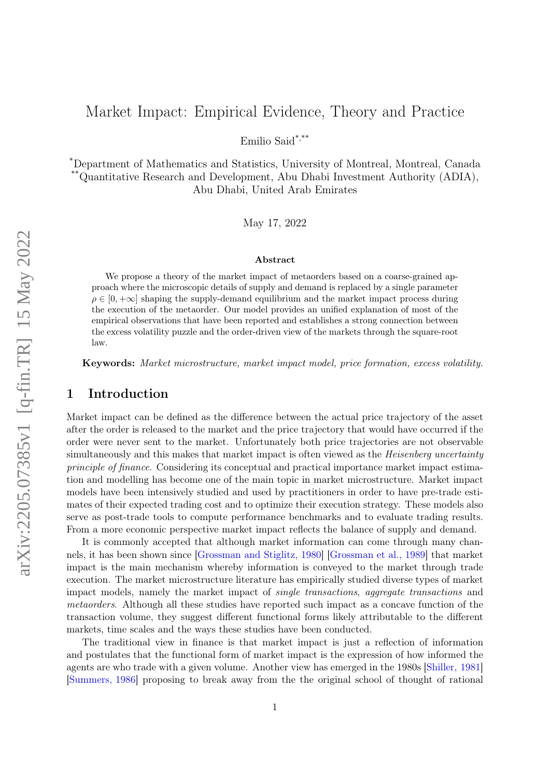# <span id="page-0-0"></span>Market Impact: Empirical Evidence, Theory and Practice

Emilio Said\*,\*\*

\*Department of Mathematics and Statistics, University of Montreal, Montreal, Canada \*\*Quantitative Research and Development, Abu Dhabi Investment Authority (ADIA), Abu Dhabi, United Arab Emirates

May 17, 2022

#### Abstract

We propose a theory of the market impact of metaorders based on a coarse-grained approach where the microscopic details of supply and demand is replaced by a single parameter  $\rho \in [0, +\infty]$  shaping the supply-demand equilibrium and the market impact process during the execution of the metaorder. Our model provides an unified explanation of most of the empirical observations that have been reported and establishes a strong connection between the excess volatility puzzle and the order-driven view of the markets through the square-root law.

Keywords: Market microstructure, market impact model, price formation, excess volatility.

## 1 Introduction

Market impact can be defined as the difference between the actual price trajectory of the asset after the order is released to the market and the price trajectory that would have occurred if the order were never sent to the market. Unfortunately both price trajectories are not observable simultaneously and this makes that market impact is often viewed as the *Heisenberg uncertainty* principle of finance. Considering its conceptual and practical importance market impact estimation and modelling has become one of the main topic in market microstructure. Market impact models have been intensively studied and used by practitioners in order to have pre-trade estimates of their expected trading cost and to optimize their execution strategy. These models also serve as post-trade tools to compute performance benchmarks and to evaluate trading results. From a more economic perspective market impact reflects the balance of supply and demand.

It is commonly accepted that although market information can come through many channels, it has been shown since [\[Grossman and Stiglitz, 1980\]](#page-36-0) [\[Grossman et al., 1989\]](#page-36-1) that market impact is the main mechanism whereby information is conveyed to the market through trade execution. The market microstructure literature has empirically studied diverse types of market impact models, namely the market impact of single transactions, aggregate transactions and metaorders. Although all these studies have reported such impact as a concave function of the transaction volume, they suggest different functional forms likely attributable to the different markets, time scales and the ways these studies have been conducted.

The traditional view in finance is that market impact is just a reflection of information and postulates that the functional form of market impact is the expression of how informed the agents are who trade with a given volume. Another view has emerged in the 1980s [\[Shiller, 1981\]](#page-37-0) [\[Summers, 1986\]](#page-38-0) proposing to break away from the the original school of thought of rational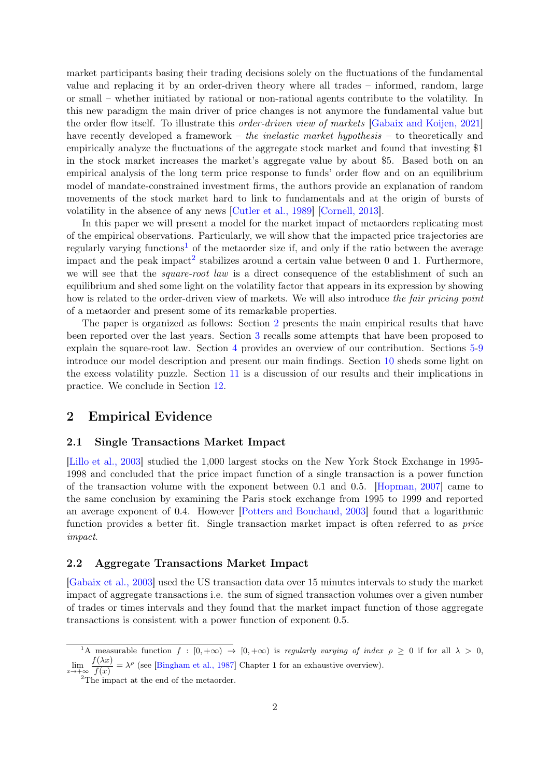market participants basing their trading decisions solely on the fluctuations of the fundamental value and replacing it by an order-driven theory where all trades – informed, random, large or small – whether initiated by rational or non-rational agents contribute to the volatility. In this new paradigm the main driver of price changes is not anymore the fundamental value but the order flow itself. To illustrate this order-driven view of markets [\[Gabaix and Koijen, 2021\]](#page-36-2) have recently developed a framework – the inelastic market hypothesis – to theoretically and empirically analyze the fluctuations of the aggregate stock market and found that investing \$1 in the stock market increases the market's aggregate value by about \$5. Based both on an empirical analysis of the long term price response to funds' order flow and on an equilibrium model of mandate-constrained investment firms, the authors provide an explanation of random movements of the stock market hard to link to fundamentals and at the origin of bursts of volatility in the absence of any news [\[Cutler et al., 1989\]](#page-36-3) [\[Cornell, 2013\]](#page-35-0).

In this paper we will present a model for the market impact of metaorders replicating most of the empirical observations. Particularly, we will show that the impacted price trajectories are regularly varying functions<sup>[1](#page-0-0)</sup> of the metaorder size if, and only if the ratio between the average impact and the peak impact<sup>[2](#page-0-0)</sup> stabilizes around a certain value between 0 and 1. Furthermore, we will see that the *square-root law* is a direct consequence of the establishment of such an equilibrium and shed some light on the volatility factor that appears in its expression by showing how is related to the order-driven view of markets. We will also introduce the fair pricing point of a metaorder and present some of its remarkable properties.

The paper is organized as follows: Section [2](#page-1-0) presents the main empirical results that have been reported over the last years. Section [3](#page-3-0) recalls some attempts that have been proposed to explain the square-root law. Section [4](#page-4-0) provides an overview of our contribution. Sections [5-](#page-4-1)[9](#page-11-0) introduce our model description and present our main findings. Section [10](#page-13-0) sheds some light on the excess volatility puzzle. Section [11](#page-14-0) is a discussion of our results and their implications in practice. We conclude in Section [12.](#page-20-0)

## <span id="page-1-0"></span>2 Empirical Evidence

#### 2.1 Single Transactions Market Impact

[\[Lillo et al., 2003\]](#page-37-1) studied the 1,000 largest stocks on the New York Stock Exchange in 1995- 1998 and concluded that the price impact function of a single transaction is a power function of the transaction volume with the exponent between 0.1 and 0.5. [\[Hopman, 2007\]](#page-37-2) came to the same conclusion by examining the Paris stock exchange from 1995 to 1999 and reported an average exponent of 0.4. However [\[Potters and Bouchaud, 2003\]](#page-37-3) found that a logarithmic function provides a better fit. Single transaction market impact is often referred to as *price* impact.

#### 2.2 Aggregate Transactions Market Impact

[\[Gabaix et al., 2003\]](#page-36-4) used the US transaction data over 15 minutes intervals to study the market impact of aggregate transactions i.e. the sum of signed transaction volumes over a given number of trades or times intervals and they found that the market impact function of those aggregate transactions is consistent with a power function of exponent 0.5.

<span id="page-1-1"></span><sup>&</sup>lt;sup>1</sup>A measurable function  $f : [0, +\infty) \rightarrow [0, +\infty)$  is regularly varying of index  $\rho \geq 0$  if for all  $\lambda > 0$ ,  $\lim_{x \to +\infty} \frac{f(\lambda x)}{f(x)}$  $\frac{f(\lambda x)}{f(x)} = \lambda^{\rho}$  (see [\[Bingham et al., 1987\]](#page-35-1) Chapter 1 for an exhaustive overview).

<sup>&</sup>lt;sup>2</sup>The impact at the end of the metaorder.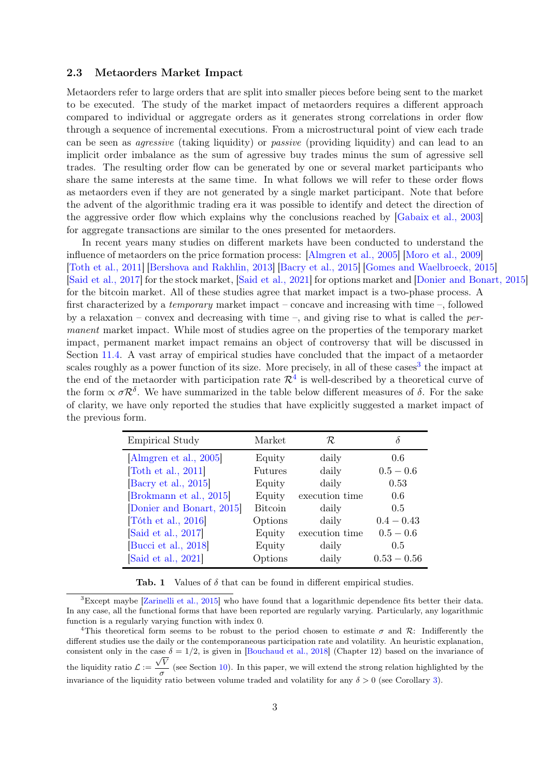#### 2.3 Metaorders Market Impact

Metaorders refer to large orders that are split into smaller pieces before being sent to the market to be executed. The study of the market impact of metaorders requires a different approach compared to individual or aggregate orders as it generates strong correlations in order flow through a sequence of incremental executions. From a microstructural point of view each trade can be seen as agressive (taking liquidity) or passive (providing liquidity) and can lead to an implicit order imbalance as the sum of agressive buy trades minus the sum of agressive sell trades. The resulting order flow can be generated by one or several market participants who share the same interests at the same time. In what follows we will refer to these order flows as metaorders even if they are not generated by a single market participant. Note that before the advent of the algorithmic trading era it was possible to identify and detect the direction of the aggressive order flow which explains why the conclusions reached by [\[Gabaix et al., 2003\]](#page-36-4) for aggregate transactions are similar to the ones presented for metaorders.

In recent years many studies on different markets have been conducted to understand the influence of metaorders on the price formation process: [\[Almgren et al., 2005\]](#page-35-2) [\[Moro et al., 2009\]](#page-37-4) [\[Toth et al., 2011\]](#page-38-1) [\[Bershova and Rakhlin, 2013\]](#page-35-3) [\[Bacry et al., 2015\]](#page-35-4) [\[Gomes and Waelbroeck, 2015\]](#page-36-5) [\[Said et al., 2017\]](#page-37-5) for the stock market, [\[Said et al., 2021\]](#page-37-6) for options market and [\[Donier and Bonart, 2015\]](#page-36-6) for the bitcoin market. All of these studies agree that market impact is a two-phase process. A first characterized by a temporary market impact – concave and increasing with time –, followed by a relaxation – convex and decreasing with time –, and giving rise to what is called the *per*manent market impact. While most of studies agree on the properties of the temporary market impact, permanent market impact remains an object of controversy that will be discussed in Section [11.4.](#page-18-0) A vast array of empirical studies have concluded that the impact of a metaorder scales roughly as a power function of its size. More precisely, in all of these cases<sup>[3](#page-0-0)</sup> the impact at the end of the metaorder with participation rate  $\mathcal{R}^4$  $\mathcal{R}^4$  is well-described by a theoretical curve of the form  $\propto \sigma R^{\delta}$ . We have summarized in the table below different measures of  $\delta$ . For the sake of clarity, we have only reported the studies that have explicitly suggested a market impact of the previous form.

| <b>Empirical Study</b>  | Market         | R              |               |
|-------------------------|----------------|----------------|---------------|
| Almgren et al., 2005]   | Equity         | daily          | 0.6           |
| Toth et al., 2011       | Futures        | daily          | $0.5 - 0.6$   |
| [Bacry et al., 2015]    | Equity         | daily          | 0.53          |
| [Brokmann et al., 2015] | Equity         | execution time | 0.6           |
| Donier and Bonart, 2015 | <b>Bitcoin</b> | daily          | 0.5           |
| Tóth et al., 2016       | Options        | daily          | $0.4 - 0.43$  |
| Said et al., 2017       | Equity         | execution time | $0.5 - 0.6$   |
| Bucci et al., 2018      | Equity         | daily          | 0.5           |
| Said et al., 2021       | Options        | daily          | $0.53 - 0.56$ |

<span id="page-2-0"></span>Tab. 1 Values of  $\delta$  that can be found in different empirical studies.

<sup>&</sup>lt;sup>3</sup>Except maybe [\[Zarinelli et al., 2015\]](#page-38-3) who have found that a logarithmic dependence fits better their data. In any case, all the functional forms that have been reported are regularly varying. Particularly, any logarithmic function is a regularly varying function with index 0.

<sup>&</sup>lt;sup>4</sup>This theoretical form seems to be robust to the period chosen to estimate  $\sigma$  and R: Indifferently the different studies use the daily or the contemporaneous participation rate and volatility. An heuristic explanation, consistent only in the case  $\delta = 1/2$ , is given in [\[Bouchaud et al., 2018\]](#page-35-7) (Chapter 12) based on the invariance of the liquidity ratio  $\mathcal{L} := \frac{\sqrt{V}}{V}$  $\frac{\tau}{\sigma}$  (see Section [10\)](#page-13-0). In this paper, we will extend the strong relation highlighted by the invariance of the liquidity ratio between volume traded and volatility for any  $\delta > 0$  (see Corollary [3\)](#page-9-0).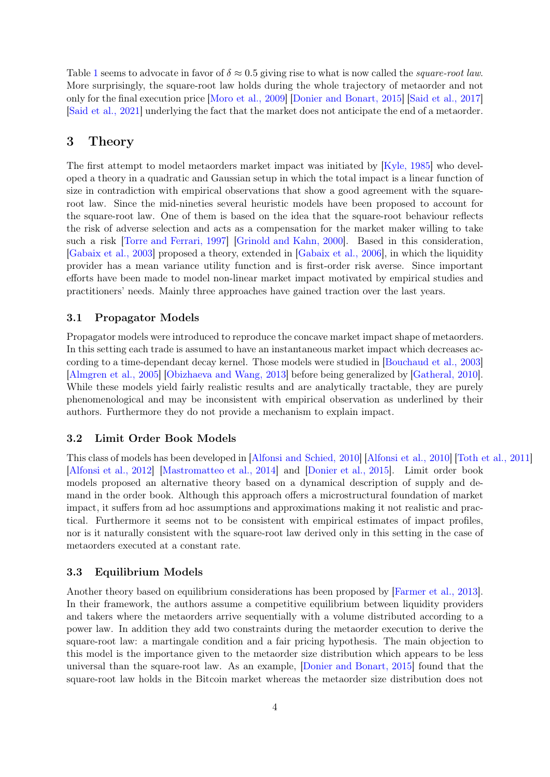Table [1](#page-2-0) seems to advocate in favor of  $\delta \approx 0.5$  giving rise to what is now called the *square-root law*. More surprisingly, the square-root law holds during the whole trajectory of metaorder and not only for the final execution price [\[Moro et al., 2009\]](#page-37-4) [\[Donier and Bonart, 2015\]](#page-36-6) [\[Said et al., 2017\]](#page-37-5) [\[Said et al., 2021\]](#page-37-6) underlying the fact that the market does not anticipate the end of a metaorder.

## <span id="page-3-0"></span>3 Theory

The first attempt to model metaorders market impact was initiated by [\[Kyle, 1985\]](#page-37-7) who developed a theory in a quadratic and Gaussian setup in which the total impact is a linear function of size in contradiction with empirical observations that show a good agreement with the squareroot law. Since the mid-nineties several heuristic models have been proposed to account for the square-root law. One of them is based on the idea that the square-root behaviour reflects the risk of adverse selection and acts as a compensation for the market maker willing to take such a risk [\[Torre and Ferrari, 1997\]](#page-38-4) [\[Grinold and Kahn, 2000\]](#page-36-7). Based in this consideration, [\[Gabaix et al., 2003\]](#page-36-4) proposed a theory, extended in [\[Gabaix et al., 2006\]](#page-36-8), in which the liquidity provider has a mean variance utility function and is first-order risk averse. Since important efforts have been made to model non-linear market impact motivated by empirical studies and practitioners' needs. Mainly three approaches have gained traction over the last years.

#### 3.1 Propagator Models

Propagator models were introduced to reproduce the concave market impact shape of metaorders. In this setting each trade is assumed to have an instantaneous market impact which decreases according to a time-dependant decay kernel. Those models were studied in [\[Bouchaud et al., 2003\]](#page-35-8) [\[Almgren et al., 2005\]](#page-35-2) [\[Obizhaeva and Wang, 2013\]](#page-37-8) before being generalized by [\[Gatheral, 2010\]](#page-36-9). While these models yield fairly realistic results and are analytically tractable, they are purely phenomenological and may be inconsistent with empirical observation as underlined by their authors. Furthermore they do not provide a mechanism to explain impact.

### 3.2 Limit Order Book Models

This class of models has been developed in [\[Alfonsi and Schied, 2010\]](#page-35-9) [\[Alfonsi et al., 2010\]](#page-35-10) [\[Toth et al., 2011\]](#page-38-1) [\[Alfonsi et al., 2012\]](#page-35-11) [\[Mastromatteo et al., 2014\]](#page-37-9) and [\[Donier et al., 2015\]](#page-36-10). Limit order book models proposed an alternative theory based on a dynamical description of supply and demand in the order book. Although this approach offers a microstructural foundation of market impact, it suffers from ad hoc assumptions and approximations making it not realistic and practical. Furthermore it seems not to be consistent with empirical estimates of impact profiles, nor is it naturally consistent with the square-root law derived only in this setting in the case of metaorders executed at a constant rate.

#### 3.3 Equilibrium Models

Another theory based on equilibrium considerations has been proposed by [\[Farmer et al., 2013\]](#page-36-11). In their framework, the authors assume a competitive equilibrium between liquidity providers and takers where the metaorders arrive sequentially with a volume distributed according to a power law. In addition they add two constraints during the metaorder execution to derive the square-root law: a martingale condition and a fair pricing hypothesis. The main objection to this model is the importance given to the metaorder size distribution which appears to be less universal than the square-root law. As an example, [\[Donier and Bonart, 2015\]](#page-36-6) found that the square-root law holds in the Bitcoin market whereas the metaorder size distribution does not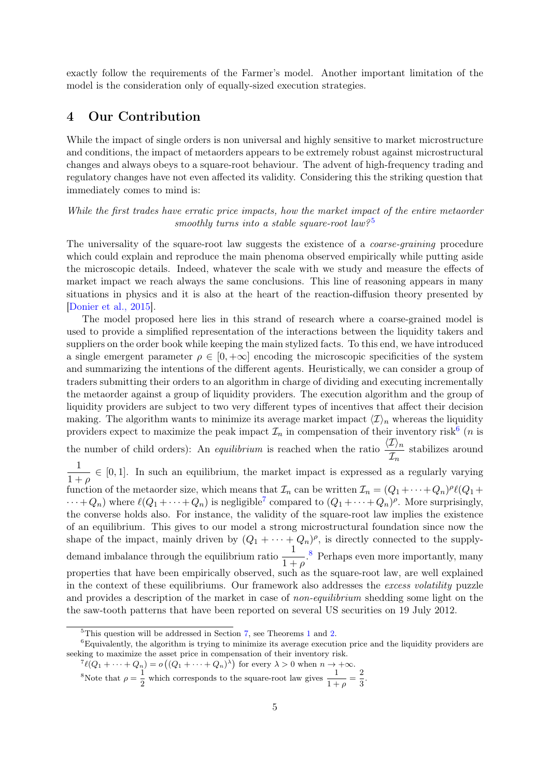exactly follow the requirements of the Farmer's model. Another important limitation of the model is the consideration only of equally-sized execution strategies.

## <span id="page-4-0"></span>4 Our Contribution

While the impact of single orders is non universal and highly sensitive to market microstructure and conditions, the impact of metaorders appears to be extremely robust against microstructural changes and always obeys to a square-root behaviour. The advent of high-frequency trading and regulatory changes have not even affected its validity. Considering this the striking question that immediately comes to mind is:

While the first trades have erratic price impacts, how the market impact of the entire metaorder smoothly turns into a stable square-root law?<sup>[5](#page-0-0)</sup>

The universality of the square-root law suggests the existence of a *coarse-graining* procedure which could explain and reproduce the main phenoma observed empirically while putting aside the microscopic details. Indeed, whatever the scale with we study and measure the effects of market impact we reach always the same conclusions. This line of reasoning appears in many situations in physics and it is also at the heart of the reaction-diffusion theory presented by [\[Donier et al., 2015\]](#page-36-10).

The model proposed here lies in this strand of research where a coarse-grained model is used to provide a simplified representation of the interactions between the liquidity takers and suppliers on the order book while keeping the main stylized facts. To this end, we have introduced a single emergent parameter  $\rho \in [0, +\infty]$  encoding the microscopic specificities of the system and summarizing the intentions of the different agents. Heuristically, we can consider a group of traders submitting their orders to an algorithm in charge of dividing and executing incrementally the metaorder against a group of liquidity providers. The execution algorithm and the group of liquidity providers are subject to two very different types of incentives that affect their decision making. The algorithm wants to minimize its average market impact  $\langle \mathcal{I} \rangle_n$  whereas the liquidity providers expect to maximize the peak impact  $\mathcal{I}_n$  in compensation of their inventory risk<sup>[6](#page-0-0)</sup> (*n* is the number of child orders): An *equilibrium* is reached when the ratio  $\frac{\langle \mathcal{I} \rangle_n}{\tau_n}$  $\frac{Z/n}{\mathcal{I}_n}$  stabilizes around 1  $\frac{1}{1+\rho} \in [0,1]$ . In such an equilibrium, the market impact is expressed as a regularly varying function of the metaorder size, which means that  $\mathcal{I}_n$  can be written  $\mathcal{I}_n = (Q_1 + \cdots + Q_n)^p \ell(Q_1 +$  $\cdots + Q_n$ ) where  $\ell(Q_1 + \cdots + Q_n)$  is negligible<sup>[7](#page-0-0)</sup> compared to  $(Q_1 + \cdots + Q_n)$ <sup>p</sup>. More surprisingly, the converse holds also. For instance, the validity of the square-root law implies the existence of an equilibrium. This gives to our model a strong microstructural foundation since now the shape of the impact, mainly driven by  $(Q_1 + \cdots + Q_n)^{\rho}$ , is directly connected to the supplydemand imbalance through the equilibrium ratio  $\frac{1}{1+\rho}$ .<sup>[8](#page-0-0)</sup> Perhaps even more importantly, many properties that have been empirically observed, such as the square-root law, are well explained in the context of these equilibriums. Our framework also addresses the excess volatility puzzle and provides a description of the market in case of *non-equilibrium* shedding some light on the the saw-tooth patterns that have been reported on several US securities on 19 July 2012.

<span id="page-4-1"></span> ${}^{5}$ This question will be addressed in Section [7,](#page-6-0) see Theorems [1](#page-6-1) and [2.](#page-8-0)

 ${}^{6}$ Equivalently, the algorithm is trying to minimize its average execution price and the liquidity providers are seeking to maximize the asset price in compensation of their inventory risk.<br>  ${}^7\ell(Q_1 + \cdots + Q_n) = o((Q_1 + \cdots + Q_n)^{\lambda})$  for every  $\lambda > 0$  when  $n \to +\infty$ .

<sup>&</sup>lt;sup>8</sup>Note that  $\rho = \frac{1}{2}$  $\frac{1}{2}$  which corresponds to the square-root law gives  $\frac{1}{1+\rho} = \frac{2}{3}$  $\frac{2}{3}$ .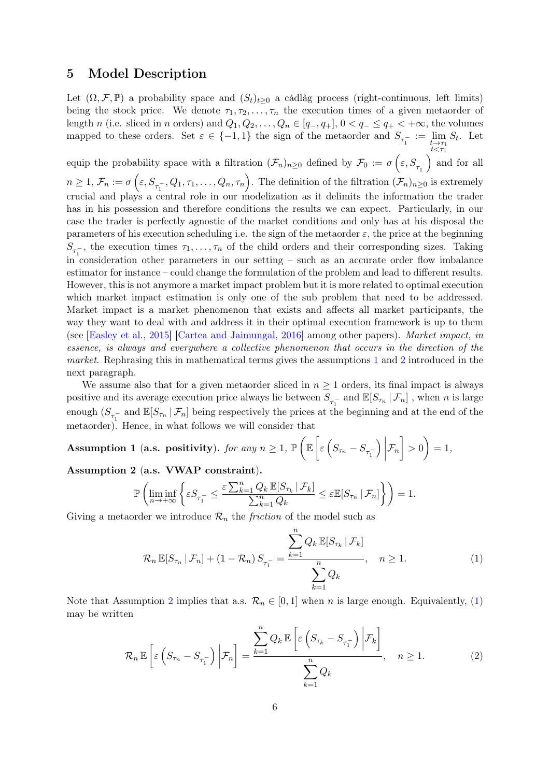## 5 Model Description

Let  $(\Omega, \mathcal{F}, \mathbb{P})$  a probability space and  $(S_t)_{t>0}$  a càdlàg process (right-continuous, left limits) being the stock price. We denote  $\tau_1, \tau_2, \ldots, \tau_n$  the execution times of a given metaorder of length n (i.e. sliced in n orders) and  $Q_1, Q_2, \ldots, Q_n \in [q_-, q_+]$ ,  $0 < q_- \le q_+ < +\infty$ , the volumes mapped to these orders. Set  $\varepsilon \in \{-1,1\}$  the sign of the metaorder and  $S_{\tau_1^-} := \lim_{\substack{t \to \tau_1 \\ t < \tau_1}}$  $S_t$ . Let

equip the probability space with a filtration  $(\mathcal{F}_n)_{n\geq 0}$  defined by  $\mathcal{F}_0 := \sigma\left(\varepsilon, S_{\tau_1^{-}}\right)$  and for all  $n \geq 1, \, \mathcal{F}_n := \sigma\left(\varepsilon, S_{\tau_1^{-}}, Q_1, \tau_1, \ldots, Q_n, \tau_n\right)$ . The definition of the filtration  $(\mathcal{F}_n)_{n \geq 0}$  is extremely crucial and plays a central role in our modelization as it delimits the information the trader has in his possession and therefore conditions the results we can expect. Particularly, in our case the trader is perfectly agnostic of the market conditions and only has at his disposal the parameters of his execution scheduling i.e. the sign of the metaorder  $\varepsilon$ , the price at the beginning  $S_{\tau_1^-}$ , the execution times  $\tau_1, \ldots, \tau_n$  of the child orders and their corresponding sizes. Taking in consideration other parameters in our setting – such as an accurate order flow imbalance estimator for instance – could change the formulation of the problem and lead to different results. However, this is not anymore a market impact problem but it is more related to optimal execution which market impact estimation is only one of the sub problem that need to be addressed. Market impact is a market phenomenon that exists and affects all market participants, the way they want to deal with and address it in their optimal execution framework is up to them (see [\[Easley et al., 2015\]](#page-36-12) [\[Cartea and Jaimungal, 2016\]](#page-35-12) among other papers). Market impact, in essence, is always and everywhere a collective phenomenon that occurs in the direction of the market. Rephrasing this in mathematical terms gives the assumptions [1](#page-5-0) and [2](#page-5-1) introduced in the next paragraph.

We assume also that for a given metaorder sliced in  $n \geq 1$  orders, its final impact is always positive and its average execution price always lie between  $S_{\tau_1^-}$  and  $\mathbb{E}[S_{\tau_n} | \mathcal{F}_n]$ , when n is large enough  $(S_{\tau_1^-}$  and  $\mathbb{E}[S_{\tau_n} | \mathcal{F}_n]$  being respectively the prices at the beginning and at the end of the metaorder). Hence, in what follows we will consider that

<span id="page-5-0"></span>Assumption 1 (a.s. positivity). for any  $n \geq 1$ ,  $\mathbb{P}\left(\mathbb{E}\left[\varepsilon\left(S_{\tau_n} - S_{\tau_1^-}\right)\right]\right)$  $\Big)$  $\mathcal{F}_n \bigg\} > 0 \bigg) = 1,$ 

<span id="page-5-1"></span>Assumption 2 (a.s. VWAP constraint).

$$
\mathbb{P}\left(\liminf_{n\to+\infty}\left\{\varepsilon S_{\tau_1^-} \leq \frac{\varepsilon \sum_{k=1}^n Q_k \mathbb{E}[S_{\tau_k} \,|\, \mathcal{F}_k]}{\sum_{k=1}^n Q_k} \leq \varepsilon \mathbb{E}[S_{\tau_n} \,|\, \mathcal{F}_n]\right\}\right) = 1.
$$

Giving a metaorder we introduce  $\mathcal{R}_n$  the *friction* of the model such as

<span id="page-5-2"></span>
$$
\mathcal{R}_n \mathbb{E}[S_{\tau_n} | \mathcal{F}_n] + (1 - \mathcal{R}_n) S_{\tau_1^-} = \frac{\sum_{k=1}^n Q_k \mathbb{E}[S_{\tau_k} | \mathcal{F}_k]}{\sum_{k=1}^n Q_k}, \quad n \ge 1.
$$
 (1)

Note that Assumption [2](#page-5-1) implies that a.s.  $\mathcal{R}_n \in [0,1]$  when n is large enough. Equivalently, [\(1\)](#page-5-2) may be written

<span id="page-5-3"></span>
$$
\mathcal{R}_n \mathbb{E}\left[\varepsilon\left(S_{\tau_n} - S_{\tau_1}\right) \bigg| \mathcal{F}_n\right] = \frac{\sum_{k=1}^n Q_k \mathbb{E}\left[\varepsilon\left(S_{\tau_k} - S_{\tau_1}\right) \bigg| \mathcal{F}_k\right]}{\sum_{k=1}^n Q_k}, \quad n \ge 1.
$$
\n(2)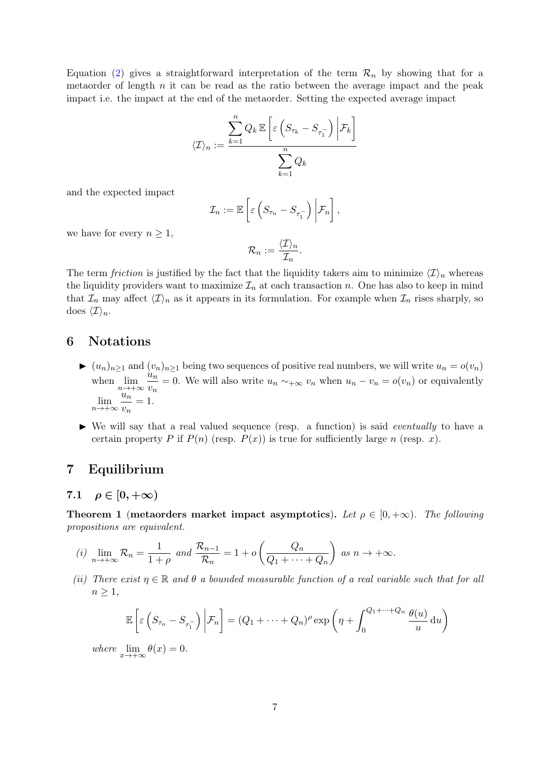Equation [\(2\)](#page-5-3) gives a straightforward interpretation of the term  $\mathcal{R}_n$  by showing that for a metaorder of length  $n$  it can be read as the ratio between the average impact and the peak impact i.e. the impact at the end of the metaorder. Setting the expected average impact

$$
\langle \mathcal{I} \rangle_n := \frac{\displaystyle\sum_{k=1}^n Q_k \, \mathbb{E}\left[ \varepsilon \left(S_{\tau_k} - S_{\tau_1^-}\right) \bigg| \mathcal{F}_k \right]}{\displaystyle\sum_{k=1}^n Q_k}
$$

and the expected impact

$$
\mathcal{I}_n := \mathbb{E}\left[\varepsilon\left(S_{\tau_n} - S_{\tau_1^-}\right)\bigg|\mathcal{F}_n\right],
$$

we have for every  $n \geq 1$ ,

$$
\mathcal{R}_n := \frac{\langle \mathcal{I} \rangle_n}{\mathcal{I}_n}.
$$

The term friction is justified by the fact that the liquidity takers aim to minimize  $\langle \mathcal{I} \rangle_n$  whereas the liquidity providers want to maximize  $\mathcal{I}_n$  at each transaction n. One has also to keep in mind that  $\mathcal{I}_n$  may affect  $\langle \mathcal{I} \rangle_n$  as it appears in its formulation. For example when  $\mathcal{I}_n$  rises sharply, so does  $\langle \mathcal{I} \rangle_n$ .

## 6 Notations

- $\blacktriangleright$   $(u_n)_{n\geq 1}$  and  $(v_n)_{n\geq 1}$  being two sequences of positive real numbers, we will write  $u_n = o(v_n)$ when  $\lim_{n\to+\infty}\frac{u_n}{v_n}$  $\frac{u_n}{v_n} = 0$ . We will also write  $u_n \sim +\infty$  v<sub>n</sub> when  $u_n - v_n = o(v_n)$  or equivalently  $\lim_{n\to+\infty}\frac{u_n}{v_n}$  $\frac{u_n}{v_n}=1.$
- $\blacktriangleright$  We will say that a real valued sequence (resp. a function) is said *eventually* to have a certain property P if  $P(n)$  (resp.  $P(x)$ ) is true for sufficiently large n (resp. x).

## <span id="page-6-0"></span>7 Equilibrium

## <span id="page-6-2"></span>7.1  $\rho \in [0, +\infty)$

<span id="page-6-1"></span>**Theorem 1** (metaorders market impact asymptotics). Let  $\rho \in [0, +\infty)$ . The following propositions are equivalent.

(i) 
$$
\lim_{n \to +\infty} \mathcal{R}_n = \frac{1}{1+\rho}
$$
 and  $\frac{\mathcal{R}_{n-1}}{\mathcal{R}_n} = 1 + o\left(\frac{Q_n}{Q_1 + \cdots + Q_n}\right)$  as  $n \to +\infty$ .

(ii) There exist  $\eta \in \mathbb{R}$  and  $\theta$  a bounded measurable function of a real variable such that for all  $n \geq 1$ ,

$$
\mathbb{E}\left[\varepsilon\left(S_{\tau_n} - S_{\tau_1}^-\right)\bigg|\mathcal{F}_n\right] = (Q_1 + \dots + Q_n)^\rho \exp\left(\eta + \int_0^{Q_1 + \dots + Q_n} \frac{\theta(u)}{u} \, \mathrm{d}u\right)
$$
  

$$
e \lim_{h \to 0} \theta(x) = 0.
$$

where  $\lim_{x \to +\infty} \theta(x) = 0.$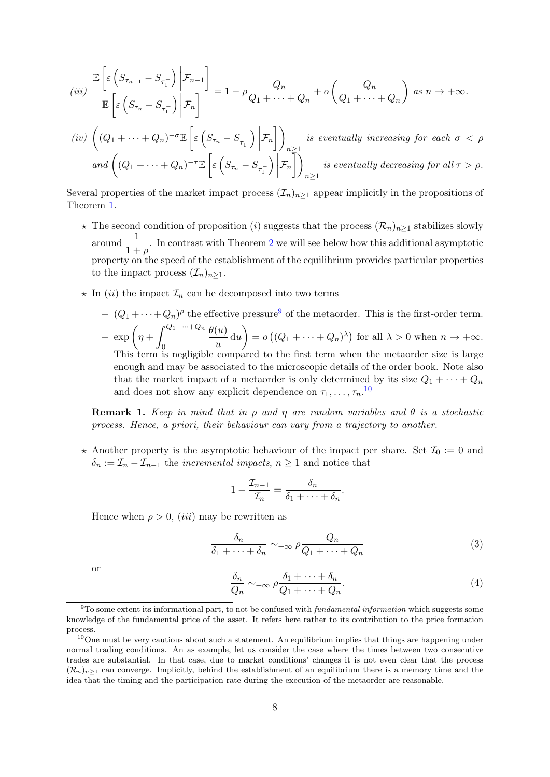$$
(iii) \frac{\mathbb{E}\left[\varepsilon\left(S_{\tau_{n-1}} - S_{\tau_1}\right) \bigg| \mathcal{F}_{n-1}\right]}{\mathbb{E}\left[\varepsilon\left(S_{\tau_n} - S_{\tau_1}\right) \bigg| \mathcal{F}_n\right]} = 1 - \rho \frac{Q_n}{Q_1 + \dots + Q_n} + o\left(\frac{Q_n}{Q_1 + \dots + Q_n}\right) \text{ as } n \to +\infty.
$$

$$
(iv) \left( (Q_1 + \dots + Q_n)^{-\sigma} \mathbb{E} \left[ \varepsilon \left( S_{\tau_n} - S_{\tau_1} \right) \Big| \mathcal{F}_n \right] \right)_{n \ge 1}
$$
 is eventually increasing for each  $\sigma < \rho$   
and 
$$
\left( (Q_1 + \dots + Q_n)^{-\tau} \mathbb{E} \left[ \varepsilon \left( S_{\tau_n} - S_{\tau_1} \right) \Big| \mathcal{F}_n \right] \right)_{n \ge 1}
$$
 is eventually decreasing for all  $\tau > \rho$ .

Several properties of the market impact process  $(\mathcal{I}_n)_{n\geq 1}$  appear implicitly in the propositions of Theorem [1.](#page-6-1)

- $\star$  The second condition of proposition (i) suggests that the process  $(\mathcal{R}_n)_{n>1}$  stabilizes slowly around  $\frac{1}{1+\rho}$ . In contrast with Theorem [2](#page-8-0) we will see below how this additional asymptotic property on the speed of the establishment of the equilibrium provides particular properties to the impact process  $(\mathcal{I}_n)_{n>1}$ .
- $\star$  In (ii) the impact  $\mathcal{I}_n$  can be decomposed into two terms
	- $(Q_1 + \cdots + Q_n)$ <sup>p</sup> the effective pressure<sup>[9](#page-0-0)</sup> of the metaorder. This is the first-order term.  $-\exp\left(\eta+\int^{Q_1+\cdots+Q_n}$  $\boldsymbol{0}$  $\theta(u)$  $\begin{pmatrix} u \ u \ u \end{pmatrix} = o((Q_1 + \cdots + Q_n)^{\lambda})$  for all  $\lambda > 0$  when  $n \to +\infty$ . This term is negligible compared to the first term when the metaorder size is large enough and may be associated to the microscopic details of the order book. Note also that the market impact of a metaorder is only determined by its size  $Q_1 + \cdots + Q_n$ and does not show any explicit dependence on  $\tau_1, \ldots, \tau_n$ .<sup>[10](#page-0-0)</sup>

**Remark 1.** Keep in mind that in  $\rho$  and  $\eta$  are random variables and  $\theta$  is a stochastic process. Hence, a priori, their behaviour can vary from a trajectory to another.

 $\star$  Another property is the asymptotic behaviour of the impact per share. Set  $\mathcal{I}_0 := 0$  and  $\delta_n := \mathcal{I}_n - \mathcal{I}_{n-1}$  the *incremental impacts*,  $n \geq 1$  and notice that

<span id="page-7-0"></span>
$$
1 - \frac{\mathcal{I}_{n-1}}{\mathcal{I}_n} = \frac{\delta_n}{\delta_1 + \dots + \delta_n}.
$$

Hence when  $\rho > 0$ , *(iii)* may be rewritten as

$$
\frac{\delta_n}{\delta_1 + \dots + \delta_n} \sim_{+\infty} \rho \frac{Q_n}{Q_1 + \dots + Q_n}
$$
\n(3)

<span id="page-7-1"></span>or

$$
\frac{\delta_n}{Q_n} \sim +\infty \rho \frac{\delta_1 + \dots + \delta_n}{Q_1 + \dots + Q_n}.
$$
\n(4)

 $9T$ o some extent its informational part, to not be confused with *fundamental information* which suggests some knowledge of the fundamental price of the asset. It refers here rather to its contribution to the price formation process.

 $10$ One must be very cautious about such a statement. An equilibrium implies that things are happening under normal trading conditions. An as example, let us consider the case where the times between two consecutive trades are substantial. In that case, due to market conditions' changes it is not even clear that the process  $(\mathcal{R}_n)_{n\geq 1}$  can converge. Implicitly, behind the establishment of an equilibrium there is a memory time and the idea that the timing and the participation rate during the execution of the metaorder are reasonable.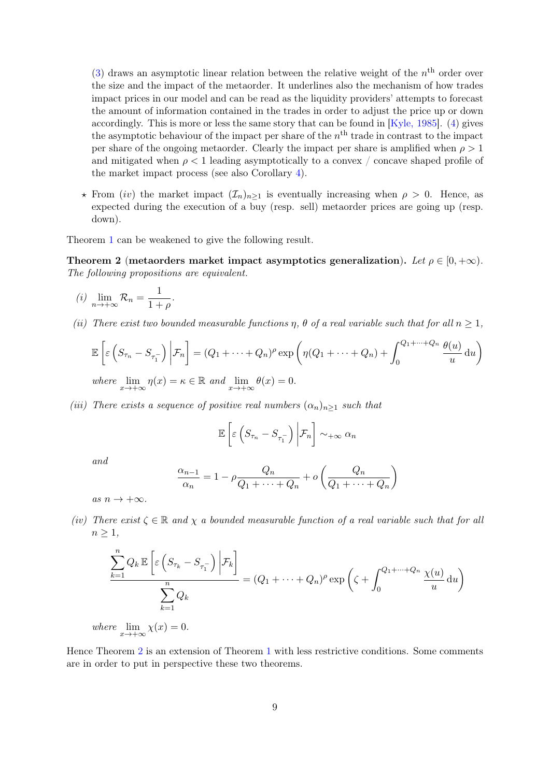[\(3\)](#page-7-0) draws an asymptotic linear relation between the relative weight of the  $n<sup>th</sup>$  order over the size and the impact of the metaorder. It underlines also the mechanism of how trades impact prices in our model and can be read as the liquidity providers' attempts to forecast the amount of information contained in the trades in order to adjust the price up or down accordingly. This is more or less the same story that can be found in  $[Kyle, 1985]$ . [\(4\)](#page-7-1) gives the asymptotic behaviour of the impact per share of the  $n<sup>th</sup>$  trade in contrast to the impact per share of the ongoing metaorder. Clearly the impact per share is amplified when  $\rho > 1$ and mitigated when  $\rho < 1$  leading asymptotically to a convex / concave shaped profile of the market impact process (see also Corollary [4\)](#page-10-0).

 $\star$  From (iv) the market impact  $(\mathcal{I}_n)_{n\geq 1}$  is eventually increasing when  $\rho > 0$ . Hence, as expected during the execution of a buy (resp. sell) metaorder prices are going up (resp. down).

Theorem [1](#page-6-1) can be weakened to give the following result.

<span id="page-8-0"></span>Theorem 2 (metaorders market impact asymptotics generalization). Let  $\rho \in [0, +\infty)$ . The following propositions are equivalent.

$$
(i) \lim_{n \to +\infty} \mathcal{R}_n = \frac{1}{1+\rho}.
$$

(ii) There exist two bounded measurable functions  $\eta$ ,  $\theta$  of a real variable such that for all  $n \geq 1$ ,

$$
\mathbb{E}\left[\varepsilon\left(S_{\tau_n} - S_{\tau_1}^-\right)\bigg|\mathcal{F}_n\right] = (Q_1 + \dots + Q_n)^{\rho} \exp\left(\eta(Q_1 + \dots + Q_n) + \int_0^{Q_1 + \dots + Q_n} \frac{\theta(u)}{u} du\right)
$$
  
where  $\lim_{n \to \infty} \eta(x) = x \in \mathbb{R}$  and  $\lim_{n \to \infty} \theta(x) = 0$ 

where  $\lim_{x \to +\infty} \eta(x) = \kappa \in \mathbb{R}$  and  $\lim_{x \to +\infty} \theta(x) = 0$ .

(iii) There exists a sequence of positive real numbers  $(\alpha_n)_{n>1}$  such that

$$
\mathbb{E}\left[\varepsilon\left(S_{\tau_n}-S_{\tau_1^-}\right)\bigg|\mathcal{F}_n\right]\sim_{+\infty}\alpha_n
$$

and

$$
\frac{\alpha_{n-1}}{\alpha_n} = 1 - \rho \frac{Q_n}{Q_1 + \dots + Q_n} + o\left(\frac{Q_n}{Q_1 + \dots + Q_n}\right)
$$

as  $n \to +\infty$ .

(iv) There exist  $\zeta \in \mathbb{R}$  and  $\chi$  a bounded measurable function of a real variable such that for all  $n \geq 1$ ,

$$
\frac{\sum_{k=1}^{n} Q_k \mathbb{E}\left[\varepsilon\left(S_{\tau_k} - S_{\tau_1}\right) \Big| \mathcal{F}_k\right]}{\sum_{k=1}^{n} Q_k} = (Q_1 + \dots + Q_n)^{\rho} \exp\left(\zeta + \int_0^{Q_1 + \dots + Q_n} \frac{\chi(u)}{u} du\right)
$$

where  $\lim_{x \to +\infty} \chi(x) = 0.$ 

Hence Theorem [2](#page-8-0) is an extension of Theorem [1](#page-6-1) with less restrictive conditions. Some comments are in order to put in perspective these two theorems.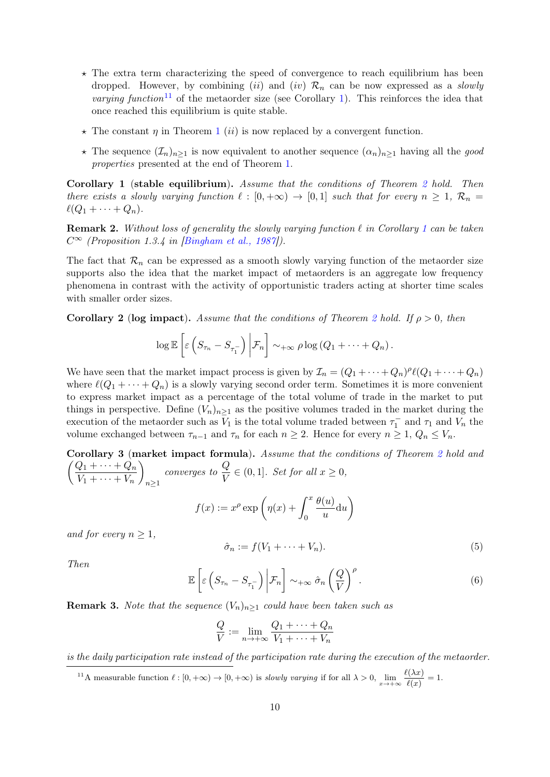- $\star$  The extra term characterizing the speed of convergence to reach equilibrium has been dropped. However, by combining (ii) and (iv)  $\mathcal{R}_n$  can be now expressed as a *slowly varying function*<sup>[11](#page-0-0)</sup> of the metaorder size (see Corollary [1\)](#page-9-1). This reinforces the idea that once reached this equilibrium is quite stable.
- $\star$  The constant  $\eta$  in Theorem [1](#page-6-1) *(ii)* is now replaced by a convergent function.
- $\star$  The sequence  $(\mathcal{I}_n)_{n\geq 1}$  is now equivalent to another sequence  $(\alpha_n)_{n\geq 1}$  having all the good properties presented at the end of Theorem [1.](#page-6-1)

<span id="page-9-1"></span>Corollary 1 (stable equilibrium). Assume that the conditions of Theorem [2](#page-8-0) hold. Then there exists a slowly varying function  $\ell : [0, +\infty) \to [0, 1]$  such that for every  $n \geq 1$ ,  $\mathcal{R}_n =$  $\ell(Q_1 + \cdots + Q_n).$ 

**Remark 2.** Without loss of generality the slowly varying function  $\ell$  in Corollary [1](#page-9-1) can be taken  $C^{\infty}$  (Proposition 1.3.4 in [\[Bingham et al., 1987\]](#page-35-1)).

The fact that  $\mathcal{R}_n$  can be expressed as a smooth slowly varying function of the metaorder size supports also the idea that the market impact of metaorders is an aggregate low frequency phenomena in contrast with the activity of opportunistic traders acting at shorter time scales with smaller order sizes.

<span id="page-9-4"></span>**Corollary [2](#page-8-0)** (log impact). Assume that the conditions of Theorem 2 hold. If  $\rho > 0$ , then

$$
\log \mathbb{E}\left[\varepsilon\left(S_{\tau_n}-S_{\tau_1^-}\right)\bigg|\mathcal{F}_n\right]\sim_{+\infty}\rho\log\left(Q_1+\cdots+Q_n\right).
$$

We have seen that the market impact process is given by  $\mathcal{I}_n = (Q_1 + \cdots + Q_n)^{\rho} \ell(Q_1 + \cdots + Q_n)$ where  $\ell(Q_1 + \cdots + Q_n)$  is a slowly varying second order term. Sometimes it is more convenient to express market impact as a percentage of the total volume of trade in the market to put things in perspective. Define  $(V_n)_{n>1}$  as the positive volumes traded in the market during the execution of the metaorder such as  $\bar{V}_1$  is the total volume traded between  $\tau_1^-$  and  $\tau_1$  and  $V_n$  the volume exchanged between  $\tau_{n-1}$  and  $\tau_n$  for each  $n \geq 2$ . Hence for every  $n \geq 1$ ,  $Q_n \leq V_n$ .

<span id="page-9-0"></span>Corollary 3 (market impact formula). Assume that the conditions of Theorem [2](#page-8-0) hold and  $\int Q_1 + \cdots + Q_n$  $V_1 + \cdots + V_n$  $\setminus$  $n\geq 1$ converges to  $\frac{Q}{V}$  $\frac{\mathscr{L}}{V} \in (0,1]$ . Set for all  $x \geq 0$ ,  $\theta(u)$  $\setminus$ 

<span id="page-9-2"></span>
$$
f(x) := x^{\rho} \exp\left(\eta(x) + \int_0^x \frac{\theta(u)}{u} du\right)
$$

and for every  $n \geq 1$ ,

$$
\hat{\sigma}_n := f(V_1 + \dots + V_n). \tag{5}
$$

<span id="page-9-3"></span>Then

$$
\mathbb{E}\left[\varepsilon\left(S_{\tau_{n}}-S_{\tau_{1}^{-}}\right)\bigg|\mathcal{F}_{n}\right]\sim_{+\infty}\hat{\sigma}_{n}\left(\frac{Q}{V}\right)^{\rho}.
$$
\n(6)

**Remark 3.** Note that the sequence  $(V_n)_{n>1}$  could have been taken such as

$$
\frac{Q}{V} := \lim_{n \to +\infty} \frac{Q_1 + \dots + Q_n}{V_1 + \dots + V_n}
$$

is the daily participation rate instead of the participation rate during the execution of the metaorder.

<sup>&</sup>lt;sup>11</sup>A measurable function  $\ell : [0, +\infty) \to [0, +\infty)$  is *slowly varying* if for all  $\lambda > 0$ ,  $\lim_{x \to +\infty} \frac{\ell(\lambda x)}{\ell(x)}$  $\frac{\partial(x)}{\partial(x)} = 1.$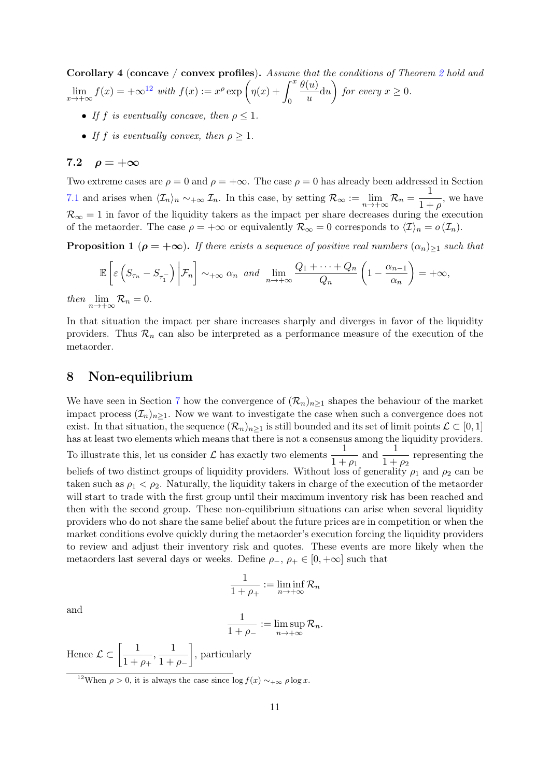<span id="page-10-0"></span>Corollary 4 (concave / convex profiles). Assume that the conditions of Theorem [2](#page-8-0) hold and  $\lim_{x \to +\infty} f(x) = +\infty^{12} \text{ with } f(x) := x^{\rho} \exp \left( \eta(x) + \int_0^x f(x) \right)$  $\lim_{x \to +\infty} f(x) = +\infty^{12} \text{ with } f(x) := x^{\rho} \exp \left( \eta(x) + \int_0^x f(x) \right)$  $\lim_{x \to +\infty} f(x) = +\infty^{12} \text{ with } f(x) := x^{\rho} \exp \left( \eta(x) + \int_0^x f(x) \right)$ 0  $\theta(u)$  $\genfrac{(}{)}{}{}{u}{u}$  du  $\genfrac{(}{)}{}{}{v}{u}$  for every  $x \geq 0$ .

- If f is eventually concave, then  $\rho \leq 1$ .
- If f is eventually convex, then  $\rho \geq 1$ .

#### <span id="page-10-2"></span>7.2  $\rho = +\infty$

Two extreme cases are  $\rho = 0$  and  $\rho = +\infty$ . The case  $\rho = 0$  has already been addressed in Section [7.1](#page-6-2) and arises when  $\langle \mathcal{I}_n \rangle_n \sim_{+\infty} \mathcal{I}_n$ . In this case, by setting  $\mathcal{R}_{\infty} := \lim_{n \to +\infty} \mathcal{R}_n = \frac{1}{1+n}$  $\frac{1}{1+\rho}$ , we have  $\mathcal{R}_{\infty} = 1$  in favor of the liquidity takers as the impact per share decreases during the execution of the metaorder. The case  $\rho = +\infty$  or equivalently  $\mathcal{R}_{\infty} = 0$  corresponds to  $\langle \mathcal{I} \rangle_n = o(\mathcal{I}_n)$ .

<span id="page-10-3"></span>**Proposition 1** ( $\rho = +\infty$ ). If there exists a sequence of positive real numbers  $(\alpha_n)_{\geq 1}$  such that

$$
\mathbb{E}\left[\varepsilon\left(S_{\tau_n}-S_{\tau_1}^-\right)\bigg|\mathcal{F}_n\right]\sim_{+\infty}\alpha_n\ \text{and}\ \lim_{n\to+\infty}\frac{Q_1+\cdots+Q_n}{Q_n}\left(1-\frac{\alpha_{n-1}}{\alpha_n}\right)=+\infty,
$$

then  $\lim_{n\to+\infty} \mathcal{R}_n = 0.$ 

In that situation the impact per share increases sharply and diverges in favor of the liquidity providers. Thus  $\mathcal{R}_n$  can also be interpreted as a performance measure of the execution of the metaorder.

## <span id="page-10-1"></span>8 Non-equilibrium

We have seen in Section [7](#page-6-0) how the convergence of  $(\mathcal{R}_n)_{n>1}$  shapes the behaviour of the market impact process  $(\mathcal{I}_n)_{n\geq 1}$ . Now we want to investigate the case when such a convergence does not exist. In that situation, the sequence  $(\mathcal{R}_n)_{n>1}$  is still bounded and its set of limit points  $\mathcal{L} \subset [0,1]$ has at least two elements which means that there is not a consensus among the liquidity providers. To illustrate this, let us consider  $\mathcal L$  has exactly two elements  $\frac{1}{1}$  $1 + \rho_1$ and  $\frac{1}{1}$  $\frac{1}{1+\rho_2}$  representing the beliefs of two distinct groups of liquidity providers. Without loss of generality  $\rho_1$  and  $\rho_2$  can be taken such as  $\rho_1 < \rho_2$ . Naturally, the liquidity takers in charge of the execution of the metaorder will start to trade with the first group until their maximum inventory risk has been reached and then with the second group. These non-equilibrium situations can arise when several liquidity providers who do not share the same belief about the future prices are in competition or when the market conditions evolve quickly during the metaorder's execution forcing the liquidity providers to review and adjust their inventory risk and quotes. These events are more likely when the metaorders last several days or weeks. Define  $\rho_-, \rho_+ \in [0, +\infty]$  such that

$$
\frac{1}{1+\rho_+} := \liminf_{n \to +\infty} \mathcal{R}_n
$$

and

$$
\frac{1}{1+\rho_-} := \limsup_{n \to +\infty} \mathcal{R}_n.
$$

Hence  $\mathcal{L} \subset \left[\frac{1}{1+r}\right]$  $\frac{1}{1+\rho_+}, \frac{1}{1+}$  $1 + \rho_-\$ , particularly

<sup>&</sup>lt;sup>12</sup>When  $\rho > 0$ , it is always the case since  $\log f(x) \sim +\infty \rho \log x$ .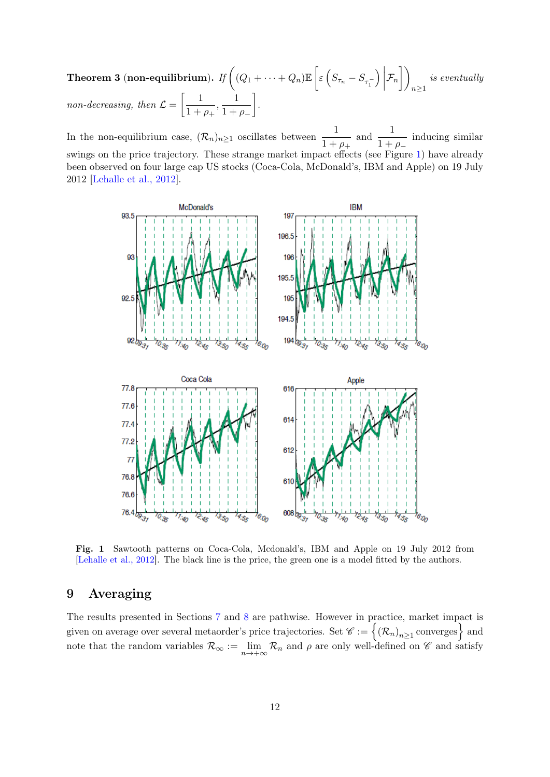<span id="page-11-2"></span>Theorem 3 (non-equilibrium). If  $\bigg((Q_1+\cdots+Q_n)\mathbb{E}\left[\varepsilon\left(S_{\tau_n}-S_{\tau_1^-}\right)\right]$  $\Big)$  $\mathcal{F}_n \Big] \Big)$  $n\geq 1$ is eventually non-decreasing, then  $\mathcal{L} = \begin{bmatrix} 1 \\ 1 \end{bmatrix}$  $\frac{1}{1+\rho_+}, \frac{1}{1+}$  $1 + \rho_-\$ .

In the non-equilibrium case,  $(\mathcal{R}_n)_{n\geq 1}$  oscillates between  $\frac{1}{1+\rho_+}$ and  $\frac{1}{1}$  $\frac{1}{1 + \rho_{-}}$  inducing similar swings on the price trajectory. These strange market impact effects (see Figure [1\)](#page-11-1) have already been observed on four large cap US stocks (Coca-Cola, McDonald's, IBM and Apple) on 19 July 2012 [\[Lehalle et al., 2012\]](#page-37-10).



<span id="page-11-1"></span>Fig. 1 Sawtooth patterns on Coca-Cola, Mcdonald's, IBM and Apple on 19 July 2012 from [\[Lehalle et al., 2012\]](#page-37-10). The black line is the price, the green one is a model fitted by the authors.

## <span id="page-11-0"></span>9 Averaging

The results presented in Sections [7](#page-6-0) and [8](#page-10-1) are pathwise. However in practice, market impact is given on average over several metaorder's price trajectories. Set  $\mathscr{C} := \left\{ (\mathcal{R}_n)_{n \geq 1}$  converges  $\right\}$  and note that the random variables  $\mathcal{R}_{\infty} := \lim_{n \to +\infty} \mathcal{R}_n$  and  $\rho$  are only well-defined on  $\mathscr{C}$  and satisfy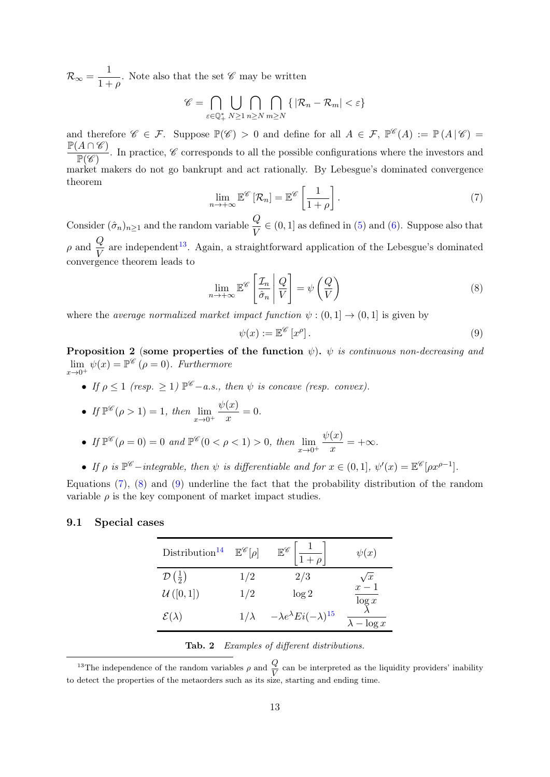$\mathcal{R}_{\infty} = \frac{1}{1 + \frac{1}{2}}$  $\frac{1}{1+\rho}$ . Note also that the set  $\mathscr C$  may be written

$$
\mathscr{C} = \bigcap_{\varepsilon \in \mathbb{Q}_+^*} \bigcup_{N \geq 1} \bigcap_{n \geq N} \bigcap_{m \geq N} \{ |R_n - R_m| < \varepsilon \}
$$

and therefore  $\mathscr{C} \in \mathcal{F}$ . Suppose  $\mathbb{P}(\mathscr{C}) > 0$  and define for all  $A \in \mathcal{F}$ ,  $\mathbb{P}^{\mathscr{C}}(A) := \mathbb{P}(A | \mathscr{C}) =$  $\mathbb{P}(A \cap \mathscr{C})$  $\frac{P(Y|Y|Z)}{P(Z)}$ . In practice, C corresponds to all the possible configurations where the investors and market makers do not go bankrupt and act rationally. By Lebesgue's dominated convergence theorem

$$
\lim_{n \to +\infty} \mathbb{E}^{\mathscr{C}}\left[\mathcal{R}_n\right] = \mathbb{E}^{\mathscr{C}}\left[\frac{1}{1+\rho}\right].\tag{7}
$$

<span id="page-12-0"></span>Consider  $(\hat{\sigma}_n)_{n\geq 1}$  and the random variable  $\frac{Q}{V} \in (0, 1]$  as defined in [\(5\)](#page-9-2) and [\(6\)](#page-9-3). Suppose also that  $\rho$  and  $\frac{Q}{V}$  are independent<sup>[13](#page-0-0)</sup>. Again, a straightforward application of the Lebesgue's dominated convergence theorem leads to

<span id="page-12-1"></span>
$$
\lim_{n \to +\infty} \mathbb{E}^{\mathscr{C}}\left[\frac{\mathcal{I}_n}{\hat{\sigma}_n} \middle| \frac{Q}{V}\right] = \psi\left(\frac{Q}{V}\right)
$$
\n(8)

where the *average normalized market impact function*  $\psi : (0,1] \rightarrow (0,1]$  is given by

<span id="page-12-2"></span>
$$
\psi(x) := \mathbb{E}^{\mathscr{C}}[x^{\rho}].\tag{9}
$$

<span id="page-12-4"></span>**Proposition 2** (some properties of the function  $\psi$ ).  $\psi$  is continuous non-decreasing and  $\lim_{x\to 0^+} \psi(x) = \mathbb{P}^{\mathscr{C}}$   $(\rho = 0)$ . Furthermore

• If  $\rho \leq 1$  (resp.  $\geq 1$ )  $\mathbb{P}^{\mathscr{C}}-a.s.,$  then  $\psi$  is concave (resp. convex).

• If 
$$
\mathbb{P}^{\mathscr{C}}(\rho > 1) = 1
$$
, then  $\lim_{x \to 0^+} \frac{\psi(x)}{x} = 0$ .

• If 
$$
\mathbb{P}^{\mathscr{C}}(\rho=0) = 0
$$
 and  $\mathbb{P}^{\mathscr{C}}(0 < \rho < 1) > 0$ , then  $\lim_{x \to 0^+} \frac{\psi(x)}{x} = +\infty$ .

• If  $\rho$  is  $\mathbb{P}^{\mathscr{C}}$  – integrable, then  $\psi$  is differentiable and for  $x \in (0,1], \psi'(x) = \mathbb{E}^{\mathscr{C}}[\rho x^{\rho-1}].$ 

Equations [\(7\)](#page-12-0), [\(8\)](#page-12-1) and [\(9\)](#page-12-2) underline the fact that the probability distribution of the random variable  $\rho$  is the key component of market impact studies.

### 9.1 Special cases

| Distribution <sup>14</sup>            | $\mathbb{E}^{\mathscr{C}}[\rho]$ | $\mathbb{E}^{\mathscr{C}}\left \frac{1}{1+\rho}\right $ | $\psi(x)$           |
|---------------------------------------|----------------------------------|---------------------------------------------------------|---------------------|
| $\mathcal{D}\left(\frac{1}{2}\right)$ | 1/2                              | 2/3                                                     | $\sqrt{x}$<br>$x-1$ |
| $\mathcal{U}\left([0,1]\right)$       | 1/2                              | log 2                                                   | $\log x$            |
| $\mathcal{E}(\lambda)$                | $1/\lambda$                      | $-\lambda e^{\lambda} E i(-\lambda)^{15}$               | $\lambda - \log x$  |

<span id="page-12-3"></span>Tab. 2 Examples of different distributions.

<sup>&</sup>lt;sup>13</sup>The independence of the random variables  $\rho$  and  $\frac{Q}{V}$  can be interpreted as the liquidity providers' inability to detect the properties of the metaorders such as its size, starting and ending time.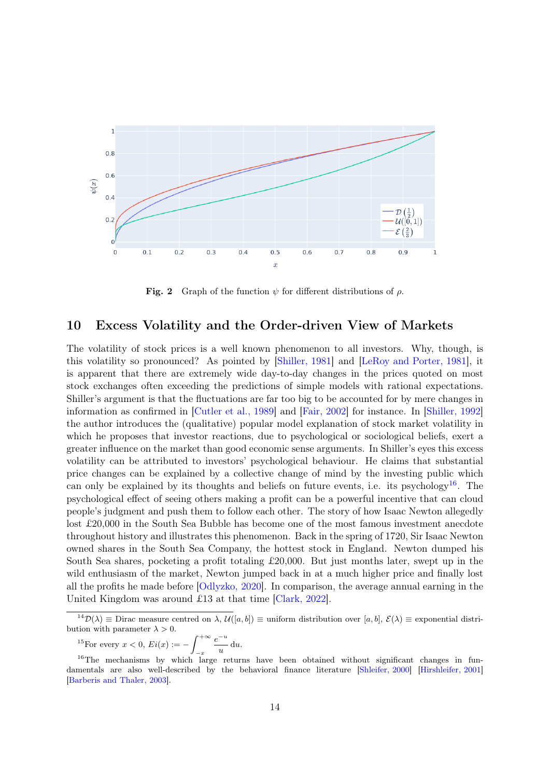

Fig. 2 Graph of the function  $\psi$  for different distributions of  $\rho$ .

## <span id="page-13-0"></span>10 Excess Volatility and the Order-driven View of Markets

The volatility of stock prices is a well known phenomenon to all investors. Why, though, is this volatility so pronounced? As pointed by [\[Shiller, 1981\]](#page-37-0) and [\[LeRoy and Porter, 1981\]](#page-37-11), it is apparent that there are extremely wide day-to-day changes in the prices quoted on most stock exchanges often exceeding the predictions of simple models with rational expectations. Shiller's argument is that the fluctuations are far too big to be accounted for by mere changes in information as confirmed in [\[Cutler et al., 1989\]](#page-36-3) and [\[Fair, 2002\]](#page-36-13) for instance. In [\[Shiller, 1992\]](#page-37-12) the author introduces the (qualitative) popular model explanation of stock market volatility in which he proposes that investor reactions, due to psychological or sociological beliefs, exert a greater influence on the market than good economic sense arguments. In Shiller's eyes this excess volatility can be attributed to investors' psychological behaviour. He claims that substantial price changes can be explained by a collective change of mind by the investing public which can only be explained by its thoughts and beliefs on future events, i.e. its psychology<sup>[16](#page-0-0)</sup>. The psychological effect of seeing others making a profit can be a powerful incentive that can cloud people's judgment and push them to follow each other. The story of how Isaac Newton allegedly lost £20,000 in the South Sea Bubble has become one of the most famous investment anecdote throughout history and illustrates this phenomenon. Back in the spring of 1720, Sir Isaac Newton owned shares in the South Sea Company, the hottest stock in England. Newton dumped his South Sea shares, pocketing a profit totaling £20,000. But just months later, swept up in the wild enthusiasm of the market, Newton jumped back in at a much higher price and finally lost all the profits he made before [\[Odlyzko, 2020\]](#page-37-13). In comparison, the average annual earning in the United Kingdom was around £13 at that time [\[Clark, 2022\]](#page-35-13).

<sup>15</sup>For every 
$$
x < 0
$$
,  $Ei(x) := -\int_{-x}^{+\infty} \frac{e^{-u}}{u} du$ .

 $14\mathcal{D}(\lambda) \equiv$  Dirac measure centred on  $\lambda$ ,  $\mathcal{U}([a, b]) \equiv$  uniform distribution over  $[a, b], \mathcal{E}(\lambda) \equiv$  exponential distribution with parameter  $\lambda > 0$ .

<sup>&</sup>lt;sup>16</sup>The mechanisms by which large returns have been obtained without significant changes in fundamentals are also well-described by the behavioral finance literature [\[Shleifer, 2000\]](#page-38-5) [\[Hirshleifer, 2001\]](#page-37-14) [\[Barberis and Thaler, 2003\]](#page-35-14).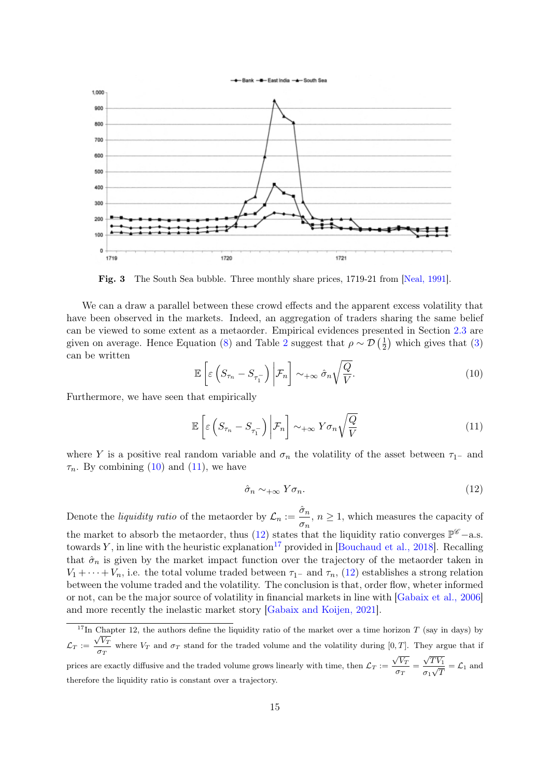



Fig. 3 The South Sea bubble. Three monthly share prices, 1719-21 from [\[Neal, 1991\]](#page-37-15).

We can a draw a parallel between these crowd effects and the apparent excess volatility that have been observed in the markets. Indeed, an aggregation of traders sharing the same belief can be viewed to some extent as a metaorder. Empirical evidences presented in Section [2.3](#page-1-1) are given on average. Hence Equation [\(8\)](#page-12-1) and Table [2](#page-12-3) suggest that  $\rho \sim \mathcal{D}\left(\frac{1}{2}\right)$  $(\frac{1}{2})$  which gives that  $(3)$ can be written

<span id="page-14-2"></span><span id="page-14-1"></span>
$$
\mathbb{E}\left[\varepsilon\left(S_{\tau_{n}}-S_{\tau_{1}^{-}}\right)\bigg|\mathcal{F}_{n}\right]\sim_{+\infty}\hat{\sigma}_{n}\sqrt{\frac{Q}{V}}.\tag{10}
$$

Furthermore, we have seen that empirically

$$
\mathbb{E}\left[\varepsilon\left(S_{\tau_{n}}-S_{\tau_{1}^{-}}\right)\bigg|\mathcal{F}_{n}\right]\sim_{+\infty}Y\sigma_{n}\sqrt{\frac{Q}{V}}\tag{11}
$$

where Y is a positive real random variable and  $\sigma_n$  the volatility of the asset between  $\tau_{1-}$  and  $\tau_n$ . By combining [\(10\)](#page-14-1) and [\(11\)](#page-14-2), we have

<span id="page-14-3"></span>
$$
\hat{\sigma}_n \sim_{+\infty} Y \sigma_n. \tag{12}
$$

Denote the *liquidity ratio* of the metaorder by  $\mathcal{L}_n := \frac{\hat{\sigma}_n}{\sigma}$  $\frac{\sigma_n}{\sigma_n}$ ,  $n \geq 1$ , which measures the capacity of the market to absorb the metaorder, thus [\(12\)](#page-14-3) states that the liquidity ratio converges  $\mathbb{P}^{\mathscr{C}}$  – a.s. towards Y, in line with the heuristic explanation<sup>[17](#page-0-0)</sup> provided in [\[Bouchaud et al., 2018\]](#page-35-7). Recalling that  $\hat{\sigma}_n$  is given by the market impact function over the trajectory of the metaorder taken in  $V_1 + \cdots + V_n$ , i.e. the total volume traded between  $\tau_1$ – and  $\tau_n$ , [\(12\)](#page-14-3) establishes a strong relation between the volume traded and the volatility. The conclusion is that, order flow, wheter informed or not, can be the major source of volatility in financial markets in line with [\[Gabaix et al., 2006\]](#page-36-8) and more recently the inelastic market story [\[Gabaix and Koijen, 2021\]](#page-36-2).

<span id="page-14-0"></span><sup>&</sup>lt;sup>17</sup>In Chapter 12, the authors define the liquidity ratio of the market over a time horizon T (say in days) by  $\mathcal{L}_T := \frac{\sqrt{V_T}}{V_T}$  $\frac{V}{\sigma_T}$  where  $V_T$  and  $\sigma_T$  stand for the traded volume and the volatility during [0, T]. They argue that if prices are exactly diffusive and the traded volume grows linearly with time, then  $\mathcal{L}_T$  :=  $\sqrt{V_T}$  $\frac{\sigma}{\sigma_T} =$  $\sqrt{TV_1}$  $\frac{\sqrt{1+\nu_1}}{\sigma_1\sqrt{T}} = \mathcal{L}_1$  and therefore the liquidity ratio is constant over a trajectory.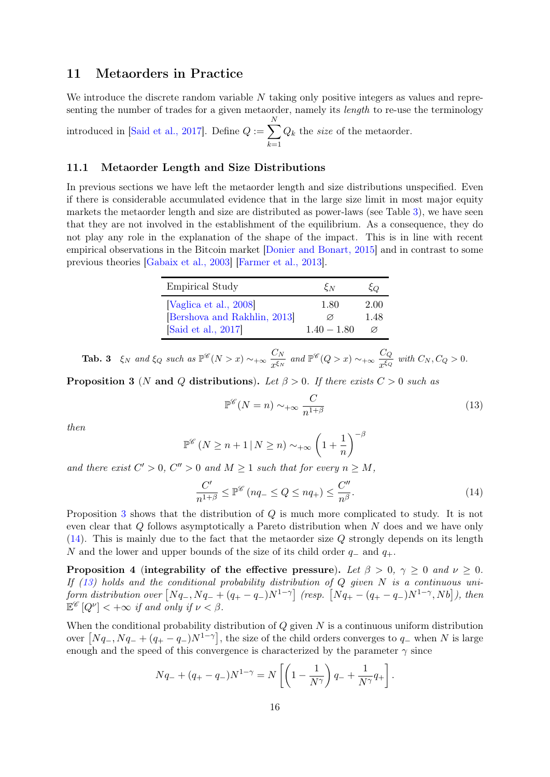## 11 Metaorders in Practice

We introduce the discrete random variable  $N$  taking only positive integers as values and representing the number of trades for a given metaorder, namely its *length* to re-use the terminology

introduced in [\[Said et al., 2017\]](#page-37-5). Define  $Q := \sum$ N  $_{k=1}$  $Q_k$  the *size* of the metaorder.

#### 11.1 Metaorder Length and Size Distributions

In previous sections we have left the metaorder length and size distributions unspecified. Even if there is considerable accumulated evidence that in the large size limit in most major equity markets the metaorder length and size are distributed as power-laws (see Table [3\)](#page-15-0), we have seen that they are not involved in the establishment of the equilibrium. As a consequence, they do not play any role in the explanation of the shape of the impact. This is in line with recent empirical observations in the Bitcoin market [\[Donier and Bonart, 2015\]](#page-36-6) and in contrast to some previous theories [\[Gabaix et al., 2003\]](#page-36-4) [\[Farmer et al., 2013\]](#page-36-11).

| <b>Empirical Study</b>       | $\xi_N$       | ξO   |
|------------------------------|---------------|------|
| [Vaglica et al., 2008]       | 1.80          | 2.00 |
| [Bershova and Rakhlin, 2013] | Ø             | 1.48 |
| Said et al., 2017]           | $1.40 - 1.80$ |      |

<span id="page-15-0"></span>**Tab. 3**  $\xi_N$  and  $\xi_Q$  such as  $\mathbb{P}^{\mathscr{C}}(N > x) \sim_{+\infty} \frac{C_N}{x}$  $\frac{C_N}{x^{\xi_N}}$  and  $\mathbb{P}^{\mathscr{C}}(Q > x) \sim_{+\infty} \frac{C_Q}{x^{\xi_Q}}$  $\frac{CQ}{x^{\xi_Q}}$  with  $C_N, C_Q > 0$ .

<span id="page-15-1"></span>**Proposition 3** (N and Q distributions). Let  $\beta > 0$ . If there exists  $C > 0$  such as

<span id="page-15-3"></span><span id="page-15-2"></span>
$$
\mathbb{P}^{\mathscr{C}}(N=n) \sim_{+\infty} \frac{C}{n^{1+\beta}}
$$
\n(13)

then

$$
\mathbb{P}^{\mathscr{C}}\left(N \ge n+1 \,|\, N \ge n\right) \sim_{+\infty} \left(1+\frac{1}{n}\right)^{-\beta}
$$

and there exist  $C' > 0$ ,  $C'' > 0$  and  $M \ge 1$  such that for every  $n \ge M$ ,

$$
\frac{C'}{n^{1+\beta}} \le \mathbb{P}^{\mathscr{C}}\left(nq_{-} \le Q \le nq_{+}\right) \le \frac{C''}{n^{\beta}}.\tag{14}
$$

Proposition [3](#page-15-1) shows that the distribution of Q is much more complicated to study. It is not even clear that Q follows asymptotically a Pareto distribution when N does and we have only  $(14)$ . This is mainly due to the fact that the metaorder size Q strongly depends on its length N and the lower and upper bounds of the size of its child order  $q_-\,$  and  $q_+\,$ .

<span id="page-15-4"></span>Proposition 4 (integrability of the effective pressure). Let  $\beta > 0$ ,  $\gamma \ge 0$  and  $\nu \ge 0$ . If  $(13)$  holds and the conditional probability distribution of Q given N is a continuous uniform distribution over  $[Nq_-, Nq_- + (q_+ - q_-)N^{1-\gamma}]$  (resp.  $[Nq_+ - (q_+ - q_-)N^{1-\gamma}, Nb]$ ), then  $\mathbb{E}^{\mathscr{C}}[Q^{\nu}] < +\infty$  if and only if  $\nu < \beta$ .

When the conditional probability distribution of  $Q$  given  $N$  is a continuous uniform distribution over  $[Nq_-, Nq_- + (q_+ - q_-)N^{1-\gamma}],$  the size of the child orders converges to  $q_-$  when N is large enough and the speed of this convergence is characterized by the parameter  $\gamma$  since

$$
Nq_{-} + (q_{+} - q_{-})N^{1-\gamma} = N \left[ \left( 1 - \frac{1}{N^{\gamma}} \right) q_{-} + \frac{1}{N^{\gamma}} q_{+} \right].
$$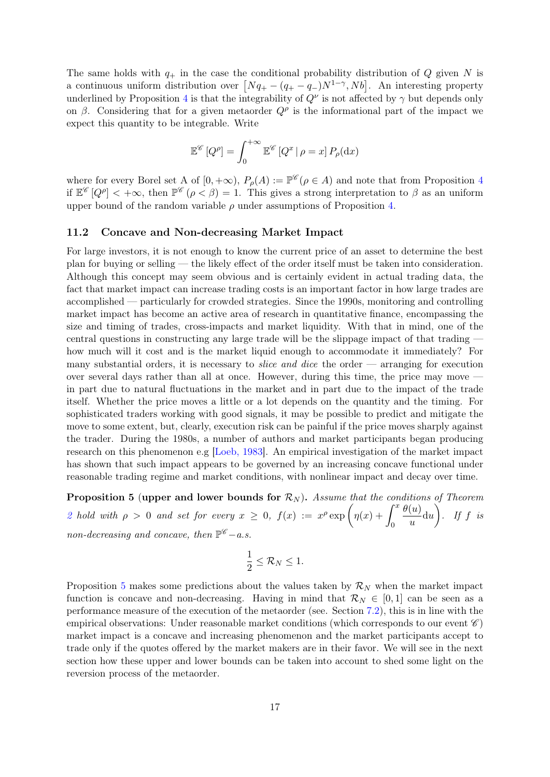The same holds with  $q_+$  in the case the conditional probability distribution of Q given N is a continuous uniform distribution over  $[Nq_{+} - (q_{+} - q_{-})N^{1-\gamma}, Nb]$ . An interesting property underlined by Proposition [4](#page-15-4) is that the integrability of  $Q^{\nu}$  is not affected by  $\gamma$  but depends only on  $\beta$ . Considering that for a given metaorder  $Q^{\rho}$  is the informational part of the impact we expect this quantity to be integrable. Write

$$
\mathbb{E}^{\mathscr{C}}\left[Q^{\rho}\right] = \int_0^{+\infty} \mathbb{E}^{\mathscr{C}}\left[Q^x \,|\,\rho = x\right] P_{\rho}(\mathrm{d}x)
$$

where for every Borel set A of  $[0, +\infty)$ ,  $P_{\rho}(A) := \mathbb{P}^{\mathscr{C}}(\rho \in A)$  and note that from Proposition [4](#page-15-4) if  $\mathbb{E}^{\mathscr{C}}[Q^{\rho}] < +\infty$ , then  $\mathbb{P}^{\mathscr{C}}(\rho < \beta) = 1$ . This gives a strong interpretation to  $\beta$  as an uniform upper bound of the random variable  $\rho$  under assumptions of Proposition [4.](#page-15-4)

#### 11.2 Concave and Non-decreasing Market Impact

For large investors, it is not enough to know the current price of an asset to determine the best plan for buying or selling — the likely effect of the order itself must be taken into consideration. Although this concept may seem obvious and is certainly evident in actual trading data, the fact that market impact can increase trading costs is an important factor in how large trades are accomplished — particularly for crowded strategies. Since the 1990s, monitoring and controlling market impact has become an active area of research in quantitative finance, encompassing the size and timing of trades, cross-impacts and market liquidity. With that in mind, one of the central questions in constructing any large trade will be the slippage impact of that trading how much will it cost and is the market liquid enough to accommodate it immediately? For many substantial orders, it is necessary to *slice and dice* the order  $\overline{ }$  arranging for execution over several days rather than all at once. However, during this time, the price may move in part due to natural fluctuations in the market and in part due to the impact of the trade itself. Whether the price moves a little or a lot depends on the quantity and the timing. For sophisticated traders working with good signals, it may be possible to predict and mitigate the move to some extent, but, clearly, execution risk can be painful if the price moves sharply against the trader. During the 1980s, a number of authors and market participants began producing research on this phenomenon e.g [\[Loeb, 1983\]](#page-37-16). An empirical investigation of the market impact has shown that such impact appears to be governed by an increasing concave functional under reasonable trading regime and market conditions, with nonlinear impact and decay over time.

<span id="page-16-0"></span>**Proposition 5 (upper and lower bounds for**  $\mathcal{R}_N$ **).** Assume that the conditions of Theorem [2](#page-8-0) hold with  $\rho > 0$  and set for every  $x \geq 0$ ,  $f(x) := x^{\rho} \exp \left( \eta(x) + \int^x f(x) \right)$ 0  $\theta(u)$  $\frac{(u)}{u}$ du $\bigg)$ . If f is non-decreasing and concave, then  $\mathbb{P}^{\mathscr{C}}$  - a.s.

$$
\frac{1}{2} \leq \mathcal{R}_N \leq 1.
$$

Proposition [5](#page-16-0) makes some predictions about the values taken by  $\mathcal{R}_N$  when the market impact function is concave and non-decreasing. Having in mind that  $\mathcal{R}_N \in [0,1]$  can be seen as a performance measure of the execution of the metaorder (see. Section [7.2\)](#page-10-2), this is in line with the empirical observations: Under reasonable market conditions (which corresponds to our event  $\mathscr{C}$ ) market impact is a concave and increasing phenomenon and the market participants accept to trade only if the quotes offered by the market makers are in their favor. We will see in the next section how these upper and lower bounds can be taken into account to shed some light on the reversion process of the metaorder.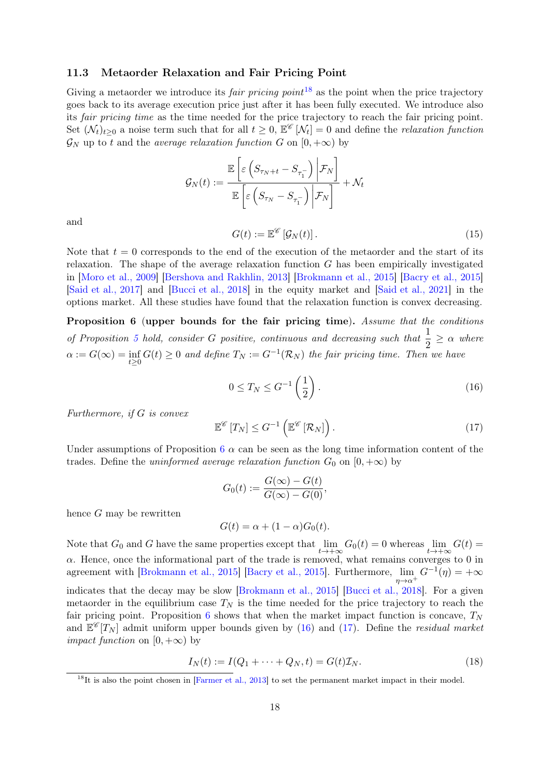#### 11.3 Metaorder Relaxation and Fair Pricing Point

Giving a metaorder we introduce its *fair pricing point*<sup>[18](#page-0-0)</sup> as the point when the price trajectory goes back to its average execution price just after it has been fully executed. We introduce also its fair pricing time as the time needed for the price trajectory to reach the fair pricing point. Set  $(\mathcal{N}_t)_{t\geq0}$  a noise term such that for all  $t\geq0, \mathbb{E}^{\mathscr{C}}[\mathcal{N}_t]=0$  and define the *relaxation function*  $\mathcal{G}_N$  up to t and the *average relaxation function* G on  $[0, +\infty)$  by

$$
\mathcal{G}_N(t) := \frac{\mathbb{E}\left[\varepsilon\left(S_{\tau_N+t} - S_{\tau_1^-}\right) \middle| \mathcal{F}_N\right]}{\mathbb{E}\left[\varepsilon\left(S_{\tau_N} - S_{\tau_1^-}\right) \middle| \mathcal{F}_N\right]} + \mathcal{N}_t
$$

<span id="page-17-3"></span>and

$$
G(t) := \mathbb{E}^{\mathscr{C}} \left[ \mathcal{G}_N(t) \right]. \tag{15}
$$

Note that  $t = 0$  corresponds to the end of the execution of the metaorder and the start of its relaxation. The shape of the average relaxation function  $G$  has been empirically investigated in [\[Moro et al., 2009\]](#page-37-4) [\[Bershova and Rakhlin, 2013\]](#page-35-3) [\[Brokmann et al., 2015\]](#page-35-5) [\[Bacry et al., 2015\]](#page-35-4) [\[Said et al., 2017\]](#page-37-5) and [\[Bucci et al., 2018\]](#page-35-6) in the equity market and [\[Said et al., 2021\]](#page-37-6) in the options market. All these studies have found that the relaxation function is convex decreasing.

<span id="page-17-0"></span>Proposition 6 (upper bounds for the fair pricing time). Assume that the conditions of Proposition [5](#page-16-0) hold, consider G positive, continuous and decreasing such that  $\frac{1}{2} \ge \alpha$  where  $\alpha := G(\infty) = \inf_{t \geq 0} G(t) \geq 0$  and define  $T_N := G^{-1}(\mathcal{R}_N)$  the fair pricing time. Then we have

<span id="page-17-1"></span>
$$
0 \le T_N \le G^{-1}\left(\frac{1}{2}\right). \tag{16}
$$

Furthermore, if G is convex

<span id="page-17-2"></span>
$$
\mathbb{E}^{\mathscr{C}}\left[T_N\right] \leq G^{-1}\left(\mathbb{E}^{\mathscr{C}}\left[\mathcal{R}_N\right]\right). \tag{17}
$$

Under assumptions of Proposition  $6 \alpha$  $6 \alpha$  can be seen as the long time information content of the trades. Define the uninformed average relaxation function  $G_0$  on  $[0, +\infty)$  by

$$
G_0(t) := \frac{G(\infty) - G(t)}{G(\infty) - G(0)},
$$

hence G may be rewritten

$$
G(t) = \alpha + (1 - \alpha)G_0(t).
$$

Note that  $G_0$  and G have the same properties except that  $\lim_{t\to+\infty} G_0(t) = 0$  whereas  $\lim_{t\to+\infty} G(t) =$  $\alpha$ . Hence, once the informational part of the trade is removed, what remains converges to 0 in agreement with [\[Brokmann et al., 2015\]](#page-35-5) [\[Bacry et al., 2015\]](#page-35-4). Furthermore,  $\lim_{\epsilon} G^{-1}(\eta) = +\infty$  $n \rightarrow \alpha^+$ indicates that the decay may be slow [\[Brokmann et al., 2015\]](#page-35-5) [\[Bucci et al., 2018\]](#page-35-6). For a given metaorder in the equilibrium case  $T_N$  is the time needed for the price trajectory to reach the fair pricing point. Proposition [6](#page-17-0) shows that when the market impact function is concave,  $T_N$ and  $\mathbb{E}^{\mathscr{C}}[T_N]$  admit uniform upper bounds given by [\(16\)](#page-17-1) and [\(17\)](#page-17-2). Define the *residual market impact function* on  $[0, +\infty)$  by

$$
I_N(t) := I(Q_1 + \dots + Q_N, t) = G(t)\mathcal{I}_N.
$$
\n(18)

 $18$ It is also the point chosen in [\[Farmer et al., 2013\]](#page-36-11) to set the permanent market impact in their model.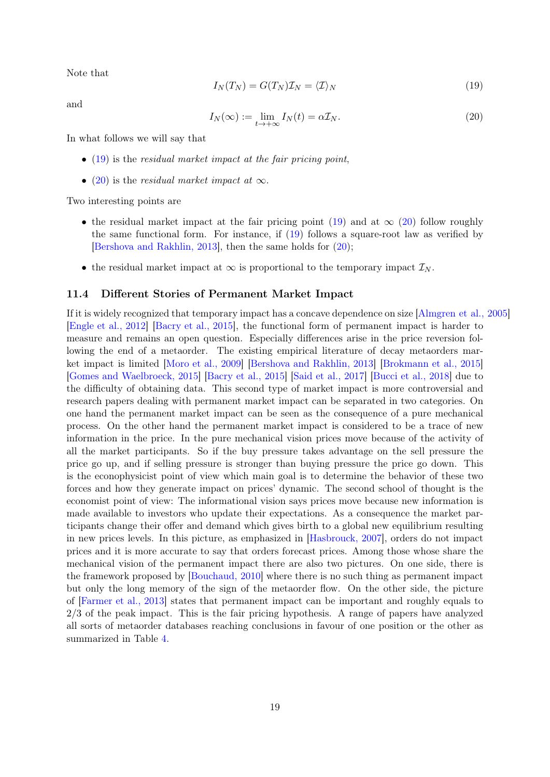<span id="page-18-1"></span>Note that

$$
I_N(T_N) = G(T_N)\mathcal{I}_N = \langle \mathcal{I} \rangle_N \tag{19}
$$

<span id="page-18-2"></span>and

$$
I_N(\infty) := \lim_{t \to +\infty} I_N(t) = \alpha \mathcal{I}_N. \tag{20}
$$

In what follows we will say that

- $\bullet$  [\(19\)](#page-18-1) is the residual market impact at the fair pricing point,
- [\(20\)](#page-18-2) is the residual market impact at  $\infty$ .

Two interesting points are

- the residual market impact at the fair pricing point [\(19\)](#page-18-1) and at  $\infty$  [\(20\)](#page-18-2) follow roughly the same functional form. For instance, if [\(19\)](#page-18-1) follows a square-root law as verified by [\[Bershova and Rakhlin, 2013\]](#page-35-3), then the same holds for [\(20\)](#page-18-2);
- the residual market impact at  $\infty$  is proportional to the temporary impact  $\mathcal{I}_N$ .

#### <span id="page-18-0"></span>11.4 Different Stories of Permanent Market Impact

If it is widely recognized that temporary impact has a concave dependence on size [\[Almgren et al., 2005\]](#page-35-2) [\[Engle et al., 2012\]](#page-36-14) [\[Bacry et al., 2015\]](#page-35-4), the functional form of permanent impact is harder to measure and remains an open question. Especially differences arise in the price reversion following the end of a metaorder. The existing empirical literature of decay metaorders market impact is limited [\[Moro et al., 2009\]](#page-37-4) [\[Bershova and Rakhlin, 2013\]](#page-35-3) [\[Brokmann et al., 2015\]](#page-35-5) [\[Gomes and Waelbroeck, 2015\]](#page-36-5) [\[Bacry et al., 2015\]](#page-35-4) [\[Said et al., 2017\]](#page-37-5) [\[Bucci et al., 2018\]](#page-35-6) due to the difficulty of obtaining data. This second type of market impact is more controversial and research papers dealing with permanent market impact can be separated in two categories. On one hand the permanent market impact can be seen as the consequence of a pure mechanical process. On the other hand the permanent market impact is considered to be a trace of new information in the price. In the pure mechanical vision prices move because of the activity of all the market participants. So if the buy pressure takes advantage on the sell pressure the price go up, and if selling pressure is stronger than buying pressure the price go down. This is the econophysicist point of view which main goal is to determine the behavior of these two forces and how they generate impact on prices' dynamic. The second school of thought is the economist point of view: The informational vision says prices move because new information is made available to investors who update their expectations. As a consequence the market participants change their offer and demand which gives birth to a global new equilibrium resulting in new prices levels. In this picture, as emphasized in [\[Hasbrouck, 2007\]](#page-36-15), orders do not impact prices and it is more accurate to say that orders forecast prices. Among those whose share the mechanical vision of the permanent impact there are also two pictures. On one side, there is the framework proposed by [\[Bouchaud, 2010\]](#page-35-15) where there is no such thing as permanent impact but only the long memory of the sign of the metaorder flow. On the other side, the picture of [\[Farmer et al., 2013\]](#page-36-11) states that permanent impact can be important and roughly equals to 2/3 of the peak impact. This is the fair pricing hypothesis. A range of papers have analyzed all sorts of metaorder databases reaching conclusions in favour of one position or the other as summarized in Table [4.](#page-19-0)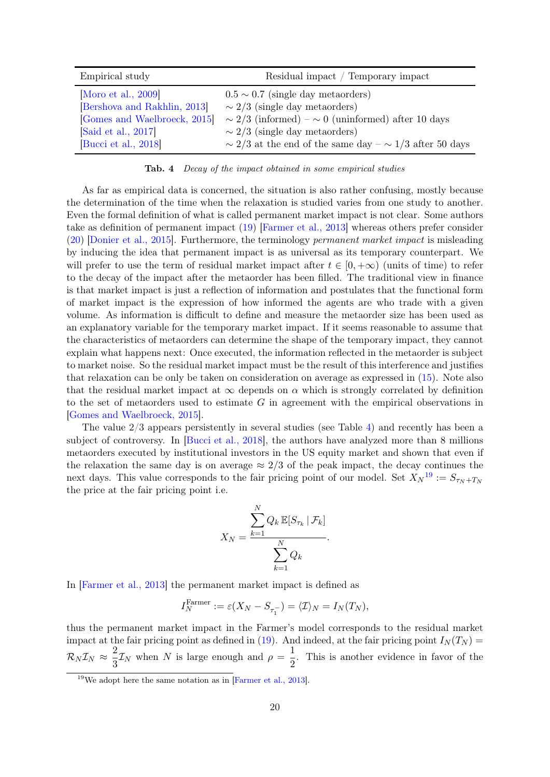| Empirical study              | Residual impact / Temporary impact                               |
|------------------------------|------------------------------------------------------------------|
| Moro et al., 2009            | $0.5 \sim 0.7$ (single day metaorders)                           |
| [Bershova and Rakhlin, 2013] | $\sim$ 2/3 (single day metaorders)                               |
| [Gomes and Waelbroeck, 2015] | $\sim 2/3$ (informed) – $\sim 0$ (uninformed) after 10 days      |
| Said et al., 2017            | $\sim$ 2/3 (single day metaorders)                               |
| [Bucci et al., 2018]         | $\sim$ 2/3 at the end of the same day – $\sim$ 1/3 after 50 days |

<span id="page-19-0"></span>Tab. 4 Decay of the impact obtained in some empirical studies

As far as empirical data is concerned, the situation is also rather confusing, mostly because the determination of the time when the relaxation is studied varies from one study to another. Even the formal definition of what is called permanent market impact is not clear. Some authors take as definition of permanent impact [\(19\)](#page-18-1) [\[Farmer et al., 2013\]](#page-36-11) whereas others prefer consider [\(20\)](#page-18-2) [\[Donier et al., 2015\]](#page-36-10). Furthermore, the terminology permanent market impact is misleading by inducing the idea that permanent impact is as universal as its temporary counterpart. We will prefer to use the term of residual market impact after  $t \in [0, +\infty)$  (units of time) to refer to the decay of the impact after the metaorder has been filled. The traditional view in finance is that market impact is just a reflection of information and postulates that the functional form of market impact is the expression of how informed the agents are who trade with a given volume. As information is difficult to define and measure the metaorder size has been used as an explanatory variable for the temporary market impact. If it seems reasonable to assume that the characteristics of metaorders can determine the shape of the temporary impact, they cannot explain what happens next: Once executed, the information reflected in the metaorder is subject to market noise. So the residual market impact must be the result of this interference and justifies that relaxation can be only be taken on consideration on average as expressed in [\(15\)](#page-17-3). Note also that the residual market impact at  $\infty$  depends on  $\alpha$  which is strongly correlated by definition to the set of metaorders used to estimate  $G$  in agreement with the empirical observations in [\[Gomes and Waelbroeck, 2015\]](#page-36-5).

The value 2/3 appears persistently in several studies (see Table [4\)](#page-19-0) and recently has been a subject of controversy. In [\[Bucci et al., 2018\]](#page-35-6), the authors have analyzed more than 8 millions metaorders executed by institutional investors in the US equity market and shown that even if the relaxation the same day is on average  $\approx 2/3$  of the peak impact, the decay continues the next days. This value corresponds to the fair pricing point of our model. Set  $X_N^{19} := S_{\tau_N + T_N}$  $X_N^{19} := S_{\tau_N + T_N}$  $X_N^{19} := S_{\tau_N + T_N}$ the price at the fair pricing point i.e.

$$
X_N = \frac{\sum_{k=1}^N Q_k \mathbb{E}[S_{\tau_k} | \mathcal{F}_k]}{\sum_{k=1}^N Q_k}.
$$

In [\[Farmer et al., 2013\]](#page-36-11) the permanent market impact is defined as

$$
I_N^{\text{Farmer}} := \varepsilon(X_N - S_{\tau_1^-}) = \langle \mathcal{I} \rangle_N = I_N(T_N),
$$

thus the permanent market impact in the Farmer's model corresponds to the residual market impact at the fair pricing point as defined in [\(19\)](#page-18-1). And indeed, at the fair pricing point  $I<sub>N</sub>(T<sub>N</sub>)$  =  $\mathcal{R}_N \mathcal{I}_N \approx \frac{2}{3}$  $\frac{2}{3}\mathcal{I}_N$  when N is large enough and  $\rho = \frac{1}{2}$  $\frac{1}{2}$ . This is another evidence in favor of the

<sup>19</sup>We adopt here the same notation as in [\[Farmer et al., 2013\]](#page-36-11).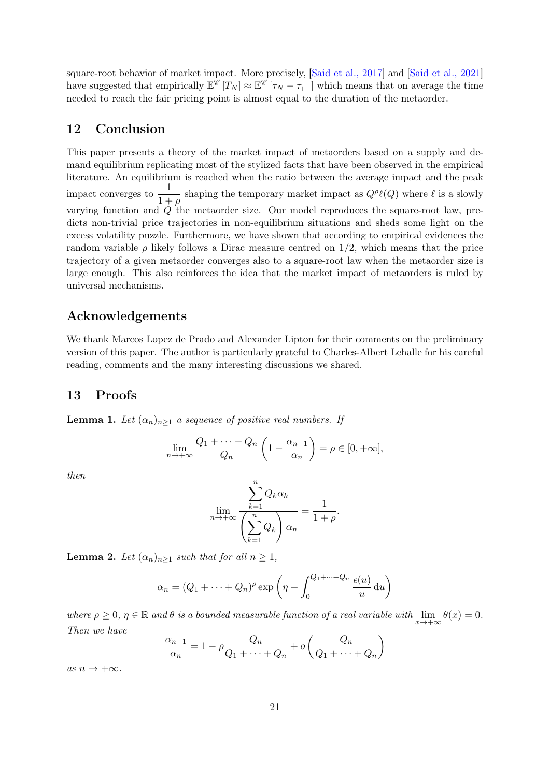square-root behavior of market impact. More precisely, [\[Said et al., 2017\]](#page-37-5) and [\[Said et al., 2021\]](#page-37-6) have suggested that empirically  $\mathbb{E}^{\mathscr{C}}[T_N] \approx \mathbb{E}^{\mathscr{C}}[T_N - \tau_{1-}]$  which means that on average the time needed to reach the fair pricing point is almost equal to the duration of the metaorder.

## <span id="page-20-0"></span>12 Conclusion

This paper presents a theory of the market impact of metaorders based on a supply and demand equilibrium replicating most of the stylized facts that have been observed in the empirical literature. An equilibrium is reached when the ratio between the average impact and the peak impact converges to  $\frac{1}{1}$  $\frac{1}{1+\rho}$  shaping the temporary market impact as  $Q^{\rho}\ell(Q)$  where  $\ell$  is a slowly varying function and  $Q$  the metaorder size. Our model reproduces the square-root law, predicts non-trivial price trajectories in non-equilibrium situations and sheds some light on the excess volatility puzzle. Furthermore, we have shown that according to empirical evidences the random variable  $\rho$  likely follows a Dirac measure centred on 1/2, which means that the price trajectory of a given metaorder converges also to a square-root law when the metaorder size is large enough. This also reinforces the idea that the market impact of metaorders is ruled by universal mechanisms.

## Acknowledgements

We thank Marcos Lopez de Prado and Alexander Lipton for their comments on the preliminary version of this paper. The author is particularly grateful to Charles-Albert Lehalle for his careful reading, comments and the many interesting discussions we shared.

### 13 Proofs

<span id="page-20-1"></span>**Lemma 1.** Let  $(\alpha_n)_{n\geq 1}$  a sequence of positive real numbers. If

$$
\lim_{n \to +\infty} \frac{Q_1 + \dots + Q_n}{Q_n} \left( 1 - \frac{\alpha_{n-1}}{\alpha_n} \right) = \rho \in [0, +\infty],
$$

then

$$
\lim_{n \to +\infty} \frac{\sum_{k=1}^{n} Q_k \alpha_k}{\left(\sum_{k=1}^{n} Q_k\right) \alpha_n} = \frac{1}{1+\rho}.
$$

<span id="page-20-2"></span>**Lemma 2.** Let  $(\alpha_n)_{n\geq 1}$  such that for all  $n \geq 1$ ,

$$
\alpha_n = (Q_1 + \dots + Q_n)^{\rho} \exp\left(\eta + \int_0^{Q_1 + \dots + Q_n} \frac{\epsilon(u)}{u} du\right)
$$

where  $\rho \geq 0$ ,  $\eta \in \mathbb{R}$  and  $\theta$  is a bounded measurable function of a real variable with  $\lim_{x \to +\infty} \theta(x) = 0$ . Then we have

$$
\frac{\alpha_{n-1}}{\alpha_n} = 1 - \rho \frac{Q_n}{Q_1 + \dots + Q_n} + o\left(\frac{Q_n}{Q_1 + \dots + Q_n}\right)
$$

as  $n \to +\infty$ .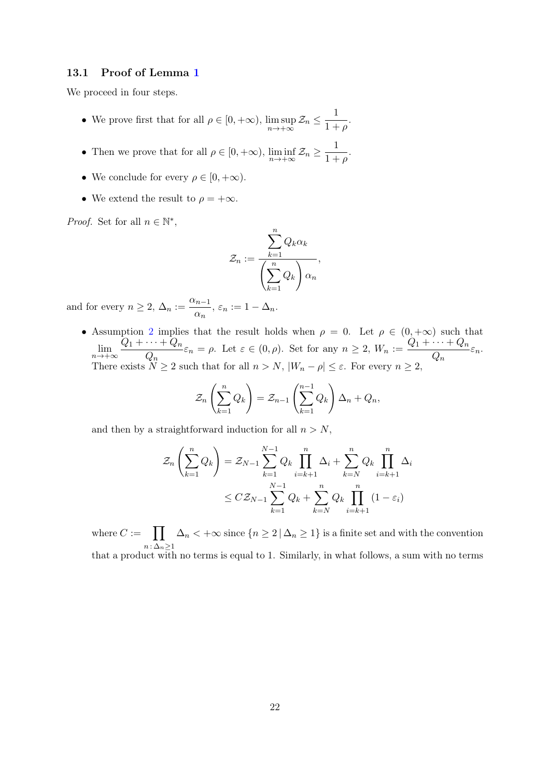#### 13.1 Proof of Lemma [1](#page-20-1)

We proceed in four steps.

- We prove first that for all  $\rho \in [0, +\infty)$ , lim sup  $\limsup_{n\to+\infty} \mathcal{Z}_n \leq \frac{1}{1+}$  $\frac{1}{1+\rho}$ .
- Then we prove that for all  $\rho \in [0, +\infty)$ ,  $\liminf_{n \to +\infty} \mathcal{Z}_n \ge \frac{1}{1 + \epsilon}$  $\frac{1}{1+\rho}$ .
- We conclude for every  $\rho \in [0, +\infty)$ .
- We extend the result to  $\rho = +\infty$ .

*Proof.* Set for all  $n \in \mathbb{N}^*$ ,

$$
\mathcal{Z}_n := \frac{\sum_{k=1}^n Q_k \alpha_k}{\left(\sum_{k=1}^n Q_k\right) \alpha_n},
$$

and for every  $n \geq 2$ ,  $\Delta_n := \frac{\alpha_{n-1}}{n}$  $\frac{a_{n-1}}{\alpha_n}, \varepsilon_n := 1 - \Delta_n.$ 

• Assumption [2](#page-5-1) implies that the result holds when  $\rho = 0$ . Let  $\rho \in (0, +\infty)$  such that  $\lim_{n\to+\infty}\frac{Q_1+\cdots+Q_n}{Q_n}$  $\frac{\cdots + Q_n}{Q_n} \varepsilon_n = \rho.$  Let  $\varepsilon \in (0, \rho)$ . Set for any  $n \ge 2$ ,  $W_n := \frac{Q_1 + \cdots + Q_n}{Q_n}$  $\frac{1}{Q_n} \varepsilon_n.$ There exists  $N \ge 2$  such that for all  $n > N$ ,  $|W_n - \rho| \le \varepsilon$ . For every  $n \ge 2$ ,

$$
\mathcal{Z}_n\left(\sum_{k=1}^n Q_k\right) = \mathcal{Z}_{n-1}\left(\sum_{k=1}^{n-1} Q_k\right) \Delta_n + Q_n,
$$

and then by a straightforward induction for all  $n > N$ ,

$$
\mathcal{Z}_n\left(\sum_{k=1}^n Q_k\right) = \mathcal{Z}_{N-1} \sum_{k=1}^{N-1} Q_k \prod_{i=k+1}^n \Delta_i + \sum_{k=N}^n Q_k \prod_{i=k+1}^n \Delta_i
$$
  

$$
\leq C \mathcal{Z}_{N-1} \sum_{k=1}^{N-1} Q_k + \sum_{k=N}^n Q_k \prod_{i=k+1}^n (1 - \varepsilon_i)
$$

where  $C := \prod$  $n : \Delta_n \geq 1$  $\Delta_n < +\infty$  since  $\{n \geq 2 \mid \Delta_n \geq 1\}$  is a finite set and with the convention that a product with no terms is equal to 1. Similarly, in what follows, a sum with no terms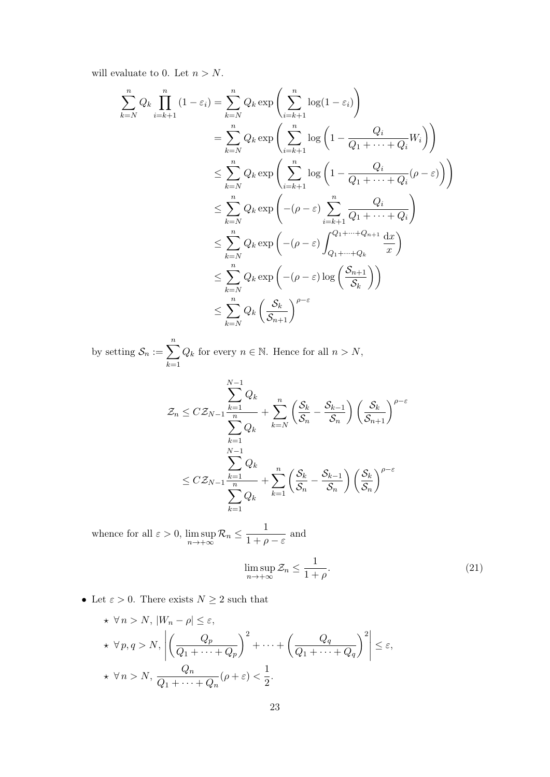will evaluate to 0. Let  $n > N$ .

$$
\sum_{k=N}^{n} Q_k \prod_{i=k+1}^{n} (1 - \varepsilon_i) = \sum_{k=N}^{n} Q_k \exp\left(\sum_{i=k+1}^{n} \log(1 - \varepsilon_i)\right)
$$
  
\n
$$
= \sum_{k=N}^{n} Q_k \exp\left(\sum_{i=k+1}^{n} \log\left(1 - \frac{Q_i}{Q_1 + \dots + Q_i} W_i\right)\right)
$$
  
\n
$$
\leq \sum_{k=N}^{n} Q_k \exp\left(\sum_{i=k+1}^{n} \log\left(1 - \frac{Q_i}{Q_1 + \dots + Q_i} (\rho - \varepsilon)\right)\right)
$$
  
\n
$$
\leq \sum_{k=N}^{n} Q_k \exp\left(-(\rho - \varepsilon) \sum_{i=k+1}^{n} \frac{Q_i}{Q_1 + \dots + Q_i}\right)
$$
  
\n
$$
\leq \sum_{k=N}^{n} Q_k \exp\left(-(\rho - \varepsilon) \int_{Q_1 + \dots + Q_k}^{Q_1 + \dots + Q_{n+1}} \frac{dx}{x}\right)
$$
  
\n
$$
\leq \sum_{k=N}^{n} Q_k \exp\left(-(\rho - \varepsilon) \log\left(\frac{S_{n+1}}{S_k}\right)\right)
$$
  
\n
$$
\leq \sum_{k=N}^{n} Q_k \left(\frac{S_k}{S_{n+1}}\right)^{\rho - \varepsilon}
$$

by setting  $\mathcal{S}_n := \sum_{n=1}^n$  $k=1$  $Q_k$  for every  $n \in \mathbb{N}$ . Hence for all  $n > N$ ,

$$
\mathcal{Z}_n \leq C \mathcal{Z}_{N-1} \frac{\displaystyle\sum_{k=1}^{N-1} Q_k}{\displaystyle\sum_{k=1}^{n} Q_k} + \displaystyle\sum_{k=N}^{n} \left( \frac{\mathcal{S}_k}{\mathcal{S}_n} - \frac{\mathcal{S}_{k-1}}{\mathcal{S}_n} \right) \left( \frac{\mathcal{S}_k}{\mathcal{S}_{n+1}} \right)^{\rho-\varepsilon}
$$
  

$$
\leq C \mathcal{Z}_{N-1} \frac{\displaystyle\sum_{k=1}^{N-1} Q_k}{\displaystyle\sum_{k=1}^{n} Q_k} + \displaystyle\sum_{k=1}^{n} \left( \frac{\mathcal{S}_k}{\mathcal{S}_n} - \frac{\mathcal{S}_{k-1}}{\mathcal{S}_n} \right) \left( \frac{\mathcal{S}_k}{\mathcal{S}_n} \right)^{\rho-\varepsilon}
$$

whence for all  $\varepsilon > 0$ , lim sup  $\limsup_{n\to+\infty} \mathcal{R}_n \leq \frac{1}{1+\rho}$  $\frac{1}{1+\rho-\varepsilon}$  and

<span id="page-22-0"></span>
$$
\limsup_{n \to +\infty} \mathcal{Z}_n \le \frac{1}{1+\rho}.\tag{21}
$$

 $\bullet\,$  Let  $\varepsilon>0.$  There exists  $N\geq 2$  such that

$$
\star \forall n > N, |W_n - \rho| \le \varepsilon,
$$
  
\n
$$
\star \forall p, q > N, \left| \left( \frac{Q_p}{Q_1 + \dots + Q_p} \right)^2 + \dots + \left( \frac{Q_q}{Q_1 + \dots + Q_q} \right)^2 \right| \le \varepsilon,
$$
  
\n
$$
\star \forall n > N, \frac{Q_n}{Q_1 + \dots + Q_n} (\rho + \varepsilon) < \frac{1}{2}.
$$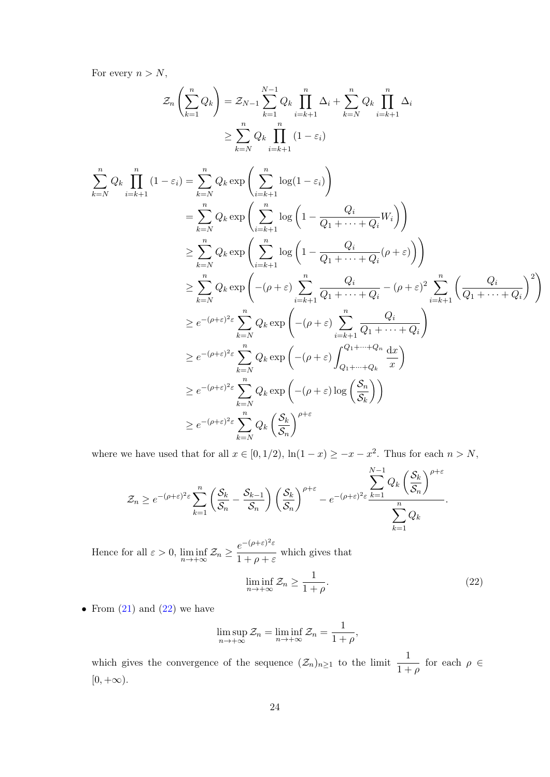For every  $n > N$ ,

$$
\mathcal{Z}_n\left(\sum_{k=1}^n Q_k\right) = \mathcal{Z}_{N-1}\sum_{k=1}^{N-1} Q_k \prod_{i=k+1}^n \Delta_i + \sum_{k=N}^n Q_k \prod_{i=k+1}^n \Delta_i
$$

$$
\geq \sum_{k=N}^n Q_k \prod_{i=k+1}^n (1 - \varepsilon_i)
$$

$$
\sum_{k=N}^{n} Q_k \prod_{i=k+1}^{n} (1 - \varepsilon_i) = \sum_{k=N}^{n} Q_k \exp\left(\sum_{i=k+1}^{n} \log(1 - \varepsilon_i)\right)
$$
  
\n
$$
= \sum_{k=N}^{n} Q_k \exp\left(\sum_{i=k+1}^{n} \log\left(1 - \frac{Q_i}{Q_1 + \dots + Q_i} W_i\right)\right)
$$
  
\n
$$
\geq \sum_{k=N}^{n} Q_k \exp\left(\sum_{i=k+1}^{n} \log\left(1 - \frac{Q_i}{Q_1 + \dots + Q_i} (\rho + \varepsilon)\right)\right)
$$
  
\n
$$
\geq \sum_{k=N}^{n} Q_k \exp\left(-(\rho + \varepsilon) \sum_{i=k+1}^{n} \frac{Q_i}{Q_1 + \dots + Q_i} - (\rho + \varepsilon)^2 \sum_{i=k+1}^{n} \left(\frac{Q_i}{Q_1 + \dots + Q_i}\right)^2\right)
$$
  
\n
$$
\geq e^{-(\rho + \varepsilon)^2 \varepsilon} \sum_{k=N}^{n} Q_k \exp\left(-(\rho + \varepsilon) \sum_{i=k+1}^{n} \frac{Q_i}{Q_1 + \dots + Q_i}\right)
$$
  
\n
$$
\geq e^{-(\rho + \varepsilon)^2 \varepsilon} \sum_{k=N}^{n} Q_k \exp\left(-(\rho + \varepsilon) \int_{Q_1 + \dots + Q_k}^{Q_1 + \dots + Q_k} \frac{dx}{x}\right)
$$
  
\n
$$
\geq e^{-(\rho + \varepsilon)^2 \varepsilon} \sum_{k=N}^{n} Q_k \exp\left(-(\rho + \varepsilon) \log\left(\frac{S_n}{S_k}\right)\right)
$$
  
\n
$$
\geq e^{-(\rho + \varepsilon)^2 \varepsilon} \sum_{k=N}^{n} Q_k \left(\frac{S_k}{S_n}\right)^{\rho + \varepsilon}
$$

where we have used that for all  $x \in [0, 1/2)$ ,  $\ln(1-x) \ge -x - x^2$ . Thus for each  $n > N$ ,

$$
\mathcal{Z}_n \geq e^{-(\rho+\varepsilon)^2 \varepsilon} \sum_{k=1}^n \left( \frac{\mathcal{S}_k}{\mathcal{S}_n} - \frac{\mathcal{S}_{k-1}}{\mathcal{S}_n} \right) \left( \frac{\mathcal{S}_k}{\mathcal{S}_n} \right)^{\rho+\varepsilon} - e^{-(\rho+\varepsilon)^2 \varepsilon} \frac{\displaystyle\sum_{k=1}^{N-1} Q_k \left( \frac{\mathcal{S}_k}{\mathcal{S}_n} \right)^{\rho+\varepsilon}}{\displaystyle\sum_{k=1}^n Q_k}.
$$

Hence for all  $\varepsilon > 0$ ,  $\liminf_{n \to +\infty} \mathcal{Z}_n \geq \frac{e^{-(\rho + \varepsilon)^2 \varepsilon}}{1 + \rho + \varepsilon}$  $\frac{\epsilon}{1 + \rho + \varepsilon}$  which gives that

<span id="page-23-0"></span>
$$
\liminf_{n \to +\infty} \mathcal{Z}_n \ge \frac{1}{1+\rho}.\tag{22}
$$

• From  $(21)$  and  $(22)$  we have

$$
\limsup_{n \to +\infty} \mathcal{Z}_n = \liminf_{n \to +\infty} \mathcal{Z}_n = \frac{1}{1+\rho},
$$

which gives the convergence of the sequence  $(\mathcal{Z}_n)_{n\geq 1}$  to the limit  $\frac{1}{1+\rho}$  for each  $\rho \in$  $[0, +\infty).$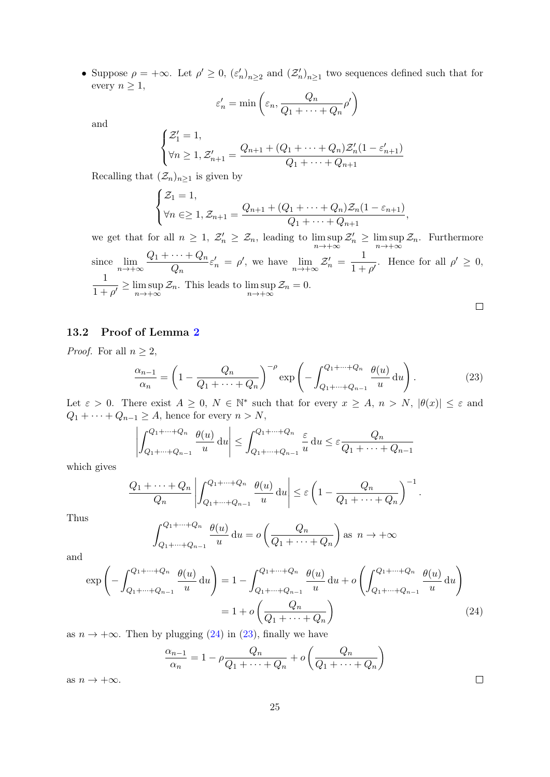• Suppose  $\rho = +\infty$ . Let  $\rho' \geq 0$ ,  $(\varepsilon'_n)_{n\geq 2}$  and  $(\mathcal{Z}'_n)_{n\geq 1}$  two sequences defined such that for every  $n \geq 1$ ,

$$
\varepsilon'_n = \min\left(\varepsilon_n, \frac{Q_n}{Q_1 + \dots + Q_n} \rho'\right)
$$

and

$$
\begin{cases} \mathcal{Z}'_1 = 1, \\ \forall n \ge 1, \mathcal{Z}'_{n+1} = \frac{Q_{n+1} + (Q_1 + \dots + Q_n)\mathcal{Z}'_n(1 - \varepsilon'_{n+1})}{Q_1 + \dots + Q_{n+1}} \end{cases}
$$

Recalling that  $(\mathcal{Z}_n)_{n\geq 1}$  is given by

$$
\begin{cases} \mathcal{Z}_1 = 1, \\ \forall n \in \geq 1, \mathcal{Z}_{n+1} = \frac{Q_{n+1} + (Q_1 + \dots + Q_n) \mathcal{Z}_n (1 - \varepsilon_{n+1})}{Q_1 + \dots + Q_{n+1}}, \end{cases}
$$

we get that for all  $n \geq 1$ ,  $\mathcal{Z}'_n \geq \mathcal{Z}_n$ , leading to  $\limsup_{n \to +\infty}$  $\mathcal{Z}'_n \geq \limsup_{n \to +\infty} \mathcal{Z}_n$ . Furthermore since  $\lim_{n\to+\infty}\frac{Q_1+\cdots+Q_n}{Q_n}$  $\frac{\cdots + Q_n}{Q_n} \varepsilon'_n = \rho'$ , we have  $\lim_{n \to +\infty} \mathcal{Z}'_n = \frac{1}{1+\rho}$  $\frac{1}{1+\rho'}$ . Hence for all  $\rho' \geq 0$ , 1  $\frac{1}{1+\rho'} \geq \limsup_{n \to +\infty}$ im sup  $\mathcal{Z}_n$ . This leads to  $\limsup_{n\to+\infty}\mathcal{Z}_n=0$ .

 $\Box$ 

 $\Box$ 

.

### 13.2 Proof of Lemma [2](#page-20-2)

*Proof.* For all  $n \geq 2$ ,

<span id="page-24-0"></span>
$$
\frac{\alpha_{n-1}}{\alpha_n} = \left(1 - \frac{Q_n}{Q_1 + \dots + Q_n}\right)^{-\rho} \exp\left(-\int_{Q_1 + \dots + Q_{n-1}}^{Q_1 + \dots + Q_n} \frac{\theta(u)}{u} \, \mathrm{d}u\right). \tag{23}
$$

Let  $\varepsilon > 0$ . There exist  $A \geq 0$ ,  $N \in \mathbb{N}^*$  such that for every  $x \geq A$ ,  $n > N$ ,  $|\theta(x)| \leq \varepsilon$  and  $Q_1 + \cdots + Q_{n-1} \geq A$ , hence for every  $n > N$ ,

$$
\left| \int_{Q_1 + \dots + Q_{n-1}}^{Q_1 + \dots + Q_n} \frac{\theta(u)}{u} du \right| \le \int_{Q_1 + \dots + Q_{n-1}}^{Q_1 + \dots + Q_n} \frac{\varepsilon}{u} du \le \varepsilon \frac{Q_n}{Q_1 + \dots + Q_{n-1}}
$$

which gives

$$
\frac{Q_1 + \dots + Q_n}{Q_n} \left| \int_{Q_1 + \dots + Q_{n-1}}^{Q_1 + \dots + Q_n} \frac{\theta(u)}{u} du \right| \le \varepsilon \left( 1 - \frac{Q_n}{Q_1 + \dots + Q_n} \right)^{-1}
$$

Thus

$$
\int_{Q_1+\dots+Q_{n-1}}^{Q_1+\dots+Q_n} \frac{\theta(u)}{u} \, \mathrm{d}u = o\left(\frac{Q_n}{Q_1+\dots+Q_n}\right) \text{as } n \to +\infty
$$

and

$$
\exp\left(-\int_{Q_1+\dots+Q_{n-1}}^{Q_1+\dots+Q_n} \frac{\theta(u)}{u} \, \mathrm{d}u\right) = 1 - \int_{Q_1+\dots+Q_{n-1}}^{Q_1+\dots+Q_n} \frac{\theta(u)}{u} \, \mathrm{d}u + o\left(\int_{Q_1+\dots+Q_{n-1}}^{Q_1+\dots+Q_n} \frac{\theta(u)}{u} \, \mathrm{d}u\right)
$$

$$
= 1 + o\left(\frac{Q_n}{Q_1+\dots+Q_n}\right) \tag{24}
$$

as  $n \to +\infty$ . Then by plugging [\(24\)](#page-24-0) in [\(23\)](#page-24-0), finally we have

$$
\frac{\alpha_{n-1}}{\alpha_n} = 1 - \rho \frac{Q_n}{Q_1 + \dots + Q_n} + o\left(\frac{Q_n}{Q_1 + \dots + Q_n}\right)
$$

as  $n \to +\infty$ .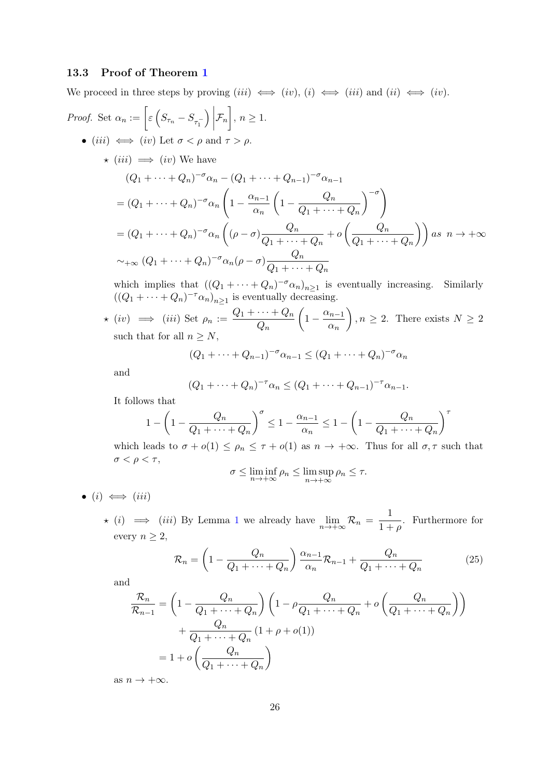### 13.3 Proof of Theorem [1](#page-6-1)

We proceed in three steps by proving  $(iii) \iff (iv), (i) \iff (iii)$  and  $(ii) \iff (iv)$ .

Proof. Set 
$$
\alpha_n := \left[ \varepsilon \left( S_{\tau_n} - S_{\tau_1^-} \right) \Big| \mathcal{F}_n \right], n \ge 1.
$$
  
\n•  $(iii) \iff (iv) \text{ Let } \sigma < \rho \text{ and } \tau > \rho.$   
\n $\star (iii) \implies (iv) \text{ We have}$   
\n
$$
(Q_1 + \dots + Q_n)^{-\sigma} \alpha_n - (Q_1 + \dots + Q_{n-1})^{-\sigma} \alpha_{n-1}
$$
\n
$$
= (Q_1 + \dots + Q_n)^{-\sigma} \alpha_n \left( 1 - \frac{\alpha_{n-1}}{\alpha_n} \left( 1 - \frac{Q_n}{Q_1 + \dots + Q_n} \right)^{-\sigma} \right)
$$
\n
$$
= (Q_1 + \dots + Q_n)^{-\sigma} \alpha_n \left( (\rho - \sigma) \frac{Q_n}{Q_1 + \dots + Q_n} + o \left( \frac{Q_n}{Q_1 + \dots + Q_n} \right) \right) \text{ as } n \to +\infty
$$
\n
$$
\sim_{+\infty} (Q_1 + \dots + Q_n)^{-\sigma} \alpha_n (\rho - \sigma) \frac{Q_n}{Q_1 + \dots + Q_n}
$$

which implies that  $((Q_1 + \cdots + Q_n)^{-\sigma} \alpha_n)_{n \geq 1}$  is eventually increasing. Similarly  $((Q_1 + \cdots + Q_n)^{-\tau} \alpha_n)_{n \geq 1}$  is eventually decreasing.

$$
\star
$$
 (iv)  $\implies$  (iii) Set  $\rho_n := \frac{Q_1 + \dots + Q_n}{Q_n} \left( 1 - \frac{\alpha_{n-1}}{\alpha_n} \right), n \ge 2$ . There exists  $N \ge 2$  such that for all  $n \ge N$ ,

$$
(Q_1 + \dots + Q_{n-1})^{-\sigma} \alpha_{n-1} \le (Q_1 + \dots + Q_n)^{-\sigma} \alpha_n
$$

and

$$
(Q_1 + \dots + Q_n)^{-\tau} \alpha_n \le (Q_1 + \dots + Q_{n-1})^{-\tau} \alpha_{n-1}.
$$

It follows that

$$
1 - \left(1 - \frac{Q_n}{Q_1 + \dots + Q_n}\right)^{\sigma} \le 1 - \frac{\alpha_{n-1}}{\alpha_n} \le 1 - \left(1 - \frac{Q_n}{Q_1 + \dots + Q_n}\right)^{\tau}
$$

which leads to  $\sigma + o(1) \le \rho_n \le \tau + o(1)$  as  $n \to +\infty$ . Thus for all  $\sigma, \tau$  such that  $\sigma < \rho < \tau$ ,

$$
\sigma \leq \liminf_{n \to +\infty} \rho_n \leq \limsup_{n \to +\infty} \rho_n \leq \tau.
$$

- $(i) \iff (iii)$ 
	- $\star$  (i)  $\implies$  (iii) By Lemma [1](#page-20-1) we already have  $\lim_{n \to +\infty} \mathcal{R}_n = \frac{1}{1+n}$  $\frac{1}{1+\rho}$ . Furthermore for every  $n \geq 2$ ,

<span id="page-25-0"></span>
$$
\mathcal{R}_n = \left(1 - \frac{Q_n}{Q_1 + \dots + Q_n}\right) \frac{\alpha_{n-1}}{\alpha_n} \mathcal{R}_{n-1} + \frac{Q_n}{Q_1 + \dots + Q_n} \tag{25}
$$

and

$$
\frac{\mathcal{R}_n}{\mathcal{R}_{n-1}} = \left(1 - \frac{Q_n}{Q_1 + \dots + Q_n}\right) \left(1 - \rho \frac{Q_n}{Q_1 + \dots + Q_n} + o\left(\frac{Q_n}{Q_1 + \dots + Q_n}\right)\right)
$$

$$
+ \frac{Q_n}{Q_1 + \dots + Q_n} \left(1 + \rho + o(1)\right)
$$

$$
= 1 + o\left(\frac{Q_n}{Q_1 + \dots + Q_n}\right)
$$

as  $n \to +\infty$ .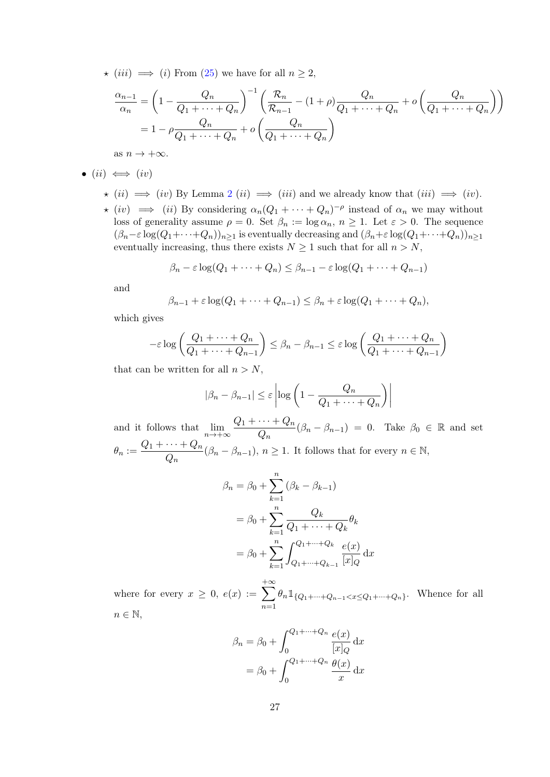$\star$  (iii)  $\implies$  (i) From [\(25\)](#page-25-0) we have for all  $n \geq 2$ ,

$$
\frac{\alpha_{n-1}}{\alpha_n} = \left(1 - \frac{Q_n}{Q_1 + \dots + Q_n}\right)^{-1} \left(\frac{\mathcal{R}_n}{\mathcal{R}_{n-1}} - (1+\rho)\frac{Q_n}{Q_1 + \dots + Q_n} + o\left(\frac{Q_n}{Q_1 + \dots + Q_n}\right)\right)
$$

$$
= 1 - \rho \frac{Q_n}{Q_1 + \dots + Q_n} + o\left(\frac{Q_n}{Q_1 + \dots + Q_n}\right)
$$

as  $n \to +\infty$ .

$$
\bullet \,\,(ii)\iff(iv)
$$

- $\star$  (ii)  $\implies$  (iv) By Lemma [2](#page-20-2) (ii)  $\implies$  (iii) and we already know that (iii)  $\implies$  (iv).
- $\star$  (iv)  $\implies$  (ii) By considering  $\alpha_n(Q_1 + \cdots + Q_n)^{-\rho}$  instead of  $\alpha_n$  we may without loss of generality assume  $\rho = 0$ . Set  $\beta_n := \log \alpha_n$ ,  $n \geq 1$ . Let  $\varepsilon > 0$ . The sequence  $(\beta_n-\varepsilon \log(Q_1+\cdots+Q_n))_{n\geq 1}$  is eventually decreasing and  $(\beta_n+\varepsilon \log(Q_1+\cdots+Q_n))_{n\geq 1}$ eventually increasing, thus there exists  $N \geq 1$  such that for all  $n > N$ ,

$$
\beta_n - \varepsilon \log(Q_1 + \dots + Q_n) \leq \beta_{n-1} - \varepsilon \log(Q_1 + \dots + Q_{n-1})
$$

and

$$
\beta_{n-1} + \varepsilon \log(Q_1 + \dots + Q_{n-1}) \leq \beta_n + \varepsilon \log(Q_1 + \dots + Q_n),
$$

which gives

$$
-\varepsilon \log \left( \frac{Q_1 + \dots + Q_n}{Q_1 + \dots + Q_{n-1}} \right) \leq \beta_n - \beta_{n-1} \leq \varepsilon \log \left( \frac{Q_1 + \dots + Q_n}{Q_1 + \dots + Q_{n-1}} \right)
$$

that can be written for all  $n > N$ ,

$$
|\beta_n - \beta_{n-1}| \le \varepsilon \left| \log \left( 1 - \frac{Q_n}{Q_1 + \dots + Q_n} \right) \right|
$$

and it follows that  $\lim_{n\to+\infty}\frac{Q_1+\cdots+Q_n}{Q_n}$  $\frac{\cdots + Q_n}{Q_n}(\beta_n - \beta_{n-1}) = 0$ . Take  $\beta_0 \in \mathbb{R}$  and set  $\theta_n := \frac{Q_1 + \cdots + Q_n}{\Omega}$  $\frac{\cdots + Q_n}{Q_n}(\beta_n - \beta_{n-1}), n \ge 1$ . It follows that for every  $n \in \mathbb{N}$ ,

$$
\beta_n = \beta_0 + \sum_{k=1}^n (\beta_k - \beta_{k-1})
$$
  
=  $\beta_0 + \sum_{k=1}^n \frac{Q_k}{Q_1 + \dots + Q_k} \theta_k$   
=  $\beta_0 + \sum_{k=1}^n \int_{Q_1 + \dots + Q_{k-1}}^{Q_1 + \dots + Q_k} \frac{e(x)}{[x]_Q} dx$ 

where for every  $x \geq 0$ ,  $e(x) := \sum$  $+\infty$  $n=1$  $\theta_n \mathbb{1}_{\{Q_1 + \dots + Q_{n-1} < x \leq Q_1 + \dots + Q_n\}}$ . Whence for all  $n \in \mathbb{N}$ ,

$$
\beta_n = \beta_0 + \int_0^{Q_1 + \dots + Q_n} \frac{e(x)}{[x]_Q} dx
$$

$$
= \beta_0 + \int_0^{Q_1 + \dots + Q_n} \frac{\theta(x)}{x} dx
$$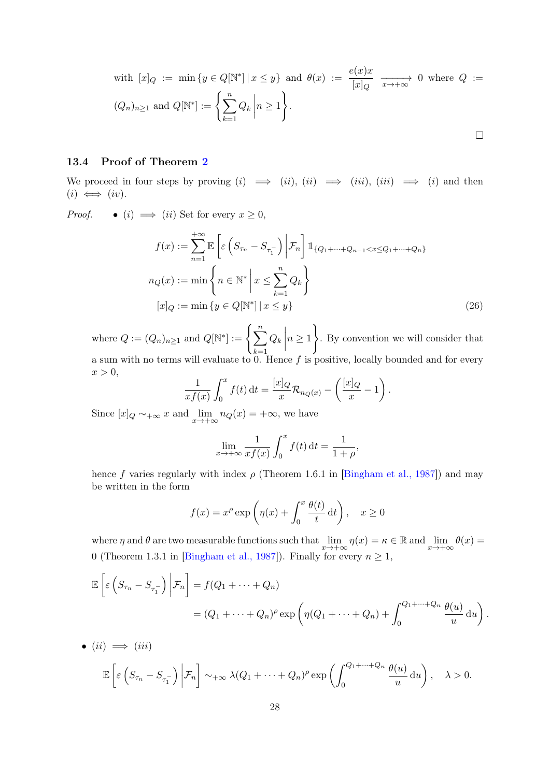with 
$$
[x]_Q := \min \{ y \in Q[\mathbb{N}^*] \mid x \le y \}
$$
 and  $\theta(x) := \frac{e(x)x}{[x]_Q} \longrightarrow 0$  where  $Q := (Q_n)_{n \ge 1}$  and  $Q[\mathbb{N}^*] := \left\{ \sum_{k=1}^n Q_k \mid n \ge 1 \right\}.$ 

### 13.4 Proof of Theorem [2](#page-8-0)

•  $(ii) \implies (iii)$ 

We proceed in four steps by proving  $(i) \implies (ii)$ ,  $(ii) \implies (iii)$ ,  $(iii) \implies (i)$  and then  $(i) \iff (iv).$ 

*Proof.* • (i)  $\implies$  (ii) Set for every  $x \geq 0$ ,

$$
f(x) := \sum_{n=1}^{+\infty} \mathbb{E}\left[\varepsilon\left(S_{\tau_n} - S_{\tau_1}\right) \middle| \mathcal{F}_n\right] \mathbb{1}_{\{Q_1 + \dots + Q_{n-1} < x \leq Q_1 + \dots + Q_n\}}
$$
\n
$$
n_Q(x) := \min\left\{n \in \mathbb{N}^* \middle| x \leq \sum_{k=1}^n Q_k\right\}
$$
\n
$$
[x]_Q := \min\left\{y \in Q[\mathbb{N}^*] \middle| x \leq y\right\} \tag{26}
$$

where  $Q := (Q_n)_{n \geq 1}$  and  $Q[\mathbb{N}^*] := \left\{ \sum_{n=1}^{\infty} \mathbb{N}^n \right\}$  $k=1$  $Q_k\bigg|\bigg|$  $n \geq 1$  $\lambda$ . By convention we will consider that a sum with no terms will evaluate to 0. Hence  $f$  is positive, locally bounded and for every  $x > 0$ ,

$$
\frac{1}{xf(x)}\int_0^x f(t) dt = \frac{[x]_Q}{x} \mathcal{R}_{n_Q(x)} - \left(\frac{[x]_Q}{x} - 1\right).
$$

Since  $[x]_Q \sim +\infty x$  and  $\lim_{x \to +\infty} n_Q(x) = +\infty$ , we have

$$
\lim_{x \to +\infty} \frac{1}{xf(x)} \int_0^x f(t) dt = \frac{1}{1+\rho},
$$

hence f varies regularly with index  $\rho$  (Theorem 1.6.1 in [\[Bingham et al., 1987\]](#page-35-1)) and may be written in the form

$$
f(x) = x^{\rho} \exp\left(\eta(x) + \int_0^x \frac{\theta(t)}{t} dt\right), \quad x \ge 0
$$

where  $\eta$  and  $\theta$  are two measurable functions such that  $\lim_{x\to+\infty}\eta(x)=\kappa\in\mathbb{R}$  and  $\lim_{x\to+\infty}\theta(x)=$ 0 (Theorem 1.3.1 in [\[Bingham et al., 1987\]](#page-35-1)). Finally for every  $n \geq 1$ ,

$$
\mathbb{E}\left[\varepsilon\left(S_{\tau_n}-S_{\tau_1}^-\right)\bigg|\mathcal{F}_n\right]=f(Q_1+\cdots+Q_n)
$$
  
=  $(Q_1+\cdots+Q_n)^{\rho}\exp\left(\eta(Q_1+\cdots+Q_n)+\int_0^{Q_1+\cdots+Q_n}\frac{\theta(u)}{u}\,du\right).$ 

 $\mathbb{E}\left[ \varepsilon \left( S_{\tau_n} - S_{\tau^-_1} \right) \right.$  $\Big)$  $\left\{ \mathcal{F}_{n}\right\} \sim_{+\infty} \lambda(Q_{1}+\cdots+Q_{n})^{\rho}\exp\bigg(\int^{Q_{1}+\cdots+Q_{n}}% \widetilde{\Phi}\left( \frac{1}{Q_{n}}\right) \cdot Q_{n}^{\frac{1}{\gamma}}(\Phi)\psi(\Phi)\bigg) \label{eq:3.14}%$ 0  $\theta(u)$  $\left(\frac{u}{u}\right)$  du  $\bigg)$ ,  $\lambda > 0$ .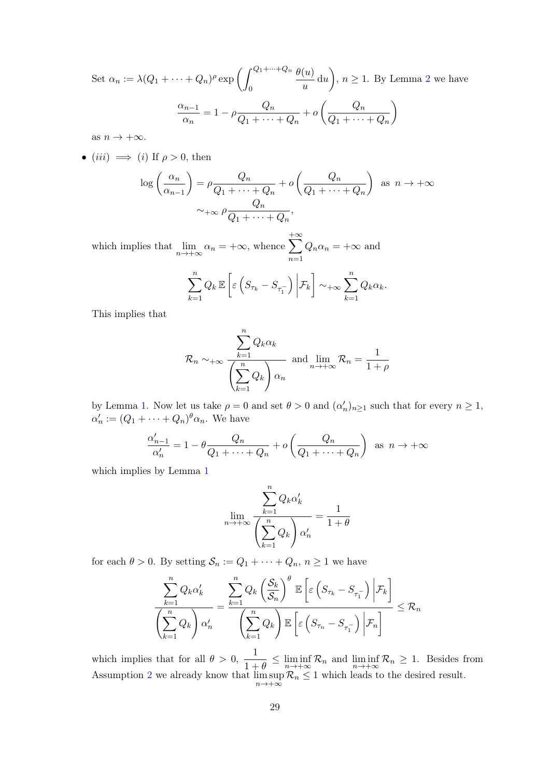Set  $\alpha_n := \lambda (Q_1 + \cdots + Q_n)^{\rho} \exp \left( \int_{Q_1 + \cdots + Q_n}^{Q_1 + \cdots + Q_n}$  $\mathbf{0}$  $\theta(u)$  $\left(\frac{u}{u}\right)$  du  $\left(n\geq 1$ . By Lemma [2](#page-20-2) we have  $\alpha_{n-1}$  $\frac{\alpha_{n-1}}{\alpha_n} = 1 - \rho \frac{Q_n}{Q_1 + \cdots}$  $\frac{Q_n}{Q_1 + \cdots + Q_n} + o\left(\frac{Q_n}{Q_1 + \cdots}\right)$  $Q_1 + \cdots + Q_n$  $\setminus$ 

as  $n \to +\infty$ .

• 
$$
(iii) \implies (i)
$$
 If  $\rho > 0$ , then

$$
\log\left(\frac{\alpha_n}{\alpha_{n-1}}\right) = \rho \frac{Q_n}{Q_1 + \dots + Q_n} + o\left(\frac{Q_n}{Q_1 + \dots + Q_n}\right) \text{ as } n \to +\infty
$$

$$
\sim_{+\infty} \rho \frac{Q_n}{Q_1 + \dots + Q_n},
$$

which implies that  $\lim_{n\to+\infty} \alpha_n = +\infty$ , whence  $\sum$  $+\infty$  $n=1$  $Q_n \alpha_n = +\infty$  and

$$
\sum_{k=1}^n Q_k \mathbb{E}\left[\varepsilon\left(S_{\tau_k} - S_{\tau_1^-}\right) \bigg| \mathcal{F}_k\right] \sim_{+\infty} \sum_{k=1}^n Q_k \alpha_k.
$$

This implies that

$$
\mathcal{R}_n \sim_{+\infty} \frac{\sum_{k=1}^n Q_k \alpha_k}{\left(\sum_{k=1}^n Q_k\right) \alpha_n} \text{ and } \lim_{n \to +\infty} \mathcal{R}_n = \frac{1}{1+\rho}
$$

by Lemma [1.](#page-20-1) Now let us take  $\rho = 0$  and set  $\theta > 0$  and  $(\alpha'_n)_{n \geq 1}$  such that for every  $n \geq 1$ ,  $\alpha'_n := (Q_1 + \cdots + Q_n)^{\theta} \alpha_n$ . We have

$$
\frac{\alpha'_{n-1}}{\alpha'_n} = 1 - \theta \frac{Q_n}{Q_1 + \dots + Q_n} + o\left(\frac{Q_n}{Q_1 + \dots + Q_n}\right) \text{ as } n \to +\infty
$$

which implies by Lemma [1](#page-20-1)

$$
\lim_{n \to +\infty} \frac{\sum_{k=1}^{n} Q_k \alpha'_k}{\left(\sum_{k=1}^{n} Q_k\right) \alpha'_n} = \frac{1}{1+\theta}
$$

for each  $\theta > 0$ . By setting  $S_n := Q_1 + \cdots + Q_n, n \ge 1$  we have

$$
\frac{\sum_{k=1}^{n} Q_k \alpha'_k}{\left(\sum_{k=1}^{n} Q_k\right) \alpha'_n} = \frac{\sum_{k=1}^{n} Q_k \left(\frac{S_k}{S_n}\right)^{\theta} \mathbb{E}\left[\varepsilon\left(S_{\tau_k} - S_{\tau_1^-}\right) \Big| \mathcal{F}_k\right]}{\left(\sum_{k=1}^{n} Q_k\right) \mathbb{E}\left[\varepsilon\left(S_{\tau_n} - S_{\tau_1^-}\right) \Big| \mathcal{F}_n\right]} \leq \mathcal{R}_n
$$

which implies that for all  $\theta > 0$ ,  $\frac{1}{1}$  $\frac{1}{1+\theta} \leq \liminf_{n \to +\infty} \mathcal{R}_n$  and  $\liminf_{n \to +\infty} \mathcal{R}_n \geq 1$ . Besides from Assumption [2](#page-5-1) we already know that lim sup  $\limsup_{n\to+\infty} \mathcal{R}_n \leq 1$  which leads to the desired result.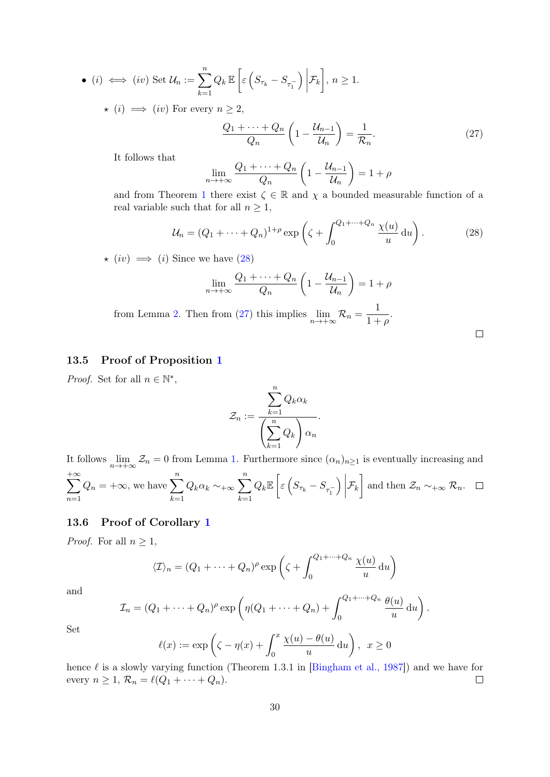• (i) 
$$
\iff
$$
 (iv) Set  $\mathcal{U}_n := \sum_{k=1}^n Q_k \mathbb{E}\left[\varepsilon\left(S_{\tau_k} - S_{\tau_1}^-\right)\bigg|\mathcal{F}_k\right], n \ge 1.$ 

 $\star$  (i)  $\implies$  (iv) For every  $n \geq 2$ ,

<span id="page-29-1"></span>
$$
\frac{Q_1 + \dots + Q_n}{Q_n} \left( 1 - \frac{\mathcal{U}_{n-1}}{\mathcal{U}_n} \right) = \frac{1}{\mathcal{R}_n}.
$$
 (27)

It follows that

<span id="page-29-0"></span>
$$
\lim_{n \to +\infty} \frac{Q_1 + \dots + Q_n}{Q_n} \left( 1 - \frac{\mathcal{U}_{n-1}}{\mathcal{U}_n} \right) = 1 + \rho
$$

and from Theorem [1](#page-6-1) there exist  $\zeta \in \mathbb{R}$  and  $\chi$  a bounded measurable function of a real variable such that for all  $n \geq 1$ ,

$$
\mathcal{U}_n = (Q_1 + \dots + Q_n)^{1+\rho} \exp\left(\zeta + \int_0^{Q_1 + \dots + Q_n} \frac{\chi(u)}{u} du\right). \tag{28}
$$

 $\star$  (iv)  $\implies$  (i) Since we have [\(28\)](#page-29-0)

$$
\lim_{n \to +\infty} \frac{Q_1 + \dots + Q_n}{Q_n} \left( 1 - \frac{\mathcal{U}_{n-1}}{\mathcal{U}_n} \right) = 1 + \rho
$$

from Lemma [2.](#page-20-2) Then from [\(27\)](#page-29-1) this implies  $\lim_{n \to +\infty} \mathcal{R}_n = \frac{1}{1+\alpha}$  $\frac{1}{1+\rho}$ .

#### $\Box$

### 13.5 Proof of Proposition [1](#page-10-3)

*Proof.* Set for all  $n \in \mathbb{N}^*$ ,

$$
\mathcal{Z}_n := \frac{\sum_{k=1}^n Q_k \alpha_k}{\left(\sum_{k=1}^n Q_k\right) \alpha_n}.
$$

It follows  $\lim_{n\to+\infty}\mathcal{Z}_n=0$  from Lemma [1.](#page-20-1) Furthermore since  $(\alpha_n)_{n\geq 1}$  is eventually increasing and  $\sum$  $+\infty$  $n=1$  $Q_n = +\infty$ , we have  $\sum_{n=1}^n$  $k=1$  $Q_k \alpha_k \sim_{+\infty} \sum_{n=1}^{n}$  $k=1$  $Q_k \mathbb{E} \left[ \varepsilon \left( S_{\tau_k} - S_{\tau^-_1} \right) \right.$  $\Big)$  $\mathcal{F}_k$  and then  $\mathcal{Z}_n \sim_{+\infty} \mathcal{R}_n$ .

#### [1](#page-9-1)3.6 Proof of Corollary 1

*Proof.* For all  $n \geq 1$ ,

$$
\langle \mathcal{I} \rangle_n = (Q_1 + \dots + Q_n)^{\rho} \exp \left( \zeta + \int_0^{Q_1 + \dots + Q_n} \frac{\chi(u)}{u} \, \mathrm{d}u \right)
$$

and

$$
\mathcal{I}_n = (Q_1 + \dots + Q_n)^{\rho} \exp \left( \eta (Q_1 + \dots + Q_n) + \int_0^{Q_1 + \dots + Q_n} \frac{\theta(u)}{u} du \right).
$$

Set

$$
\ell(x) := \exp\left(\zeta - \eta(x) + \int_0^x \frac{\chi(u) - \theta(u)}{u} du\right), \quad x \ge 0
$$

hence  $\ell$  is a slowly varying function (Theorem 1.3.1 in [\[Bingham et al., 1987\]](#page-35-1)) and we have for every  $n \geq 1$ ,  $\mathcal{R}_n = \ell(Q_1 + \cdots + Q_n)$ .  $\Box$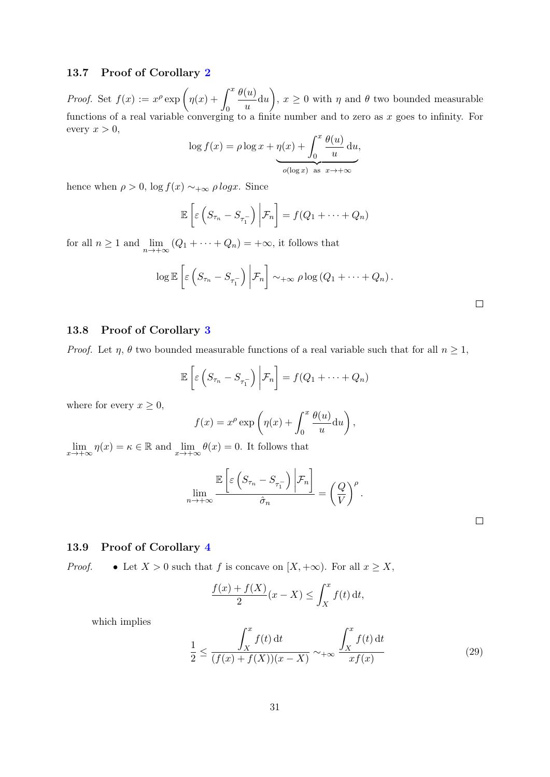### 13.7 Proof of Corollary [2](#page-9-4)

*Proof.* Set  $f(x) := x^{\rho} \exp \left( \eta(x) + \int^x \right)$ 0  $\theta(u)$  $\left(\frac{u}{u}\right)$  and  $\theta$  two bounded measurable functions of a real variable converging to a finite number and to zero as  $x$  goes to infinity. For every  $x > 0$ ,

$$
\log f(x) = \rho \log x + \eta(x) + \int_0^x \frac{\theta(u)}{u} du,
$$
  
 
$$
\phi(\log x) \text{ as } x \to +\infty
$$

hence when  $\rho > 0$ ,  $\log f(x) \sim +\infty \rho \log x$ . Since

$$
\mathbb{E}\left[\varepsilon\left(S_{\tau_n}-S_{\tau_1^-}\right)\bigg|\mathcal{F}_n\right]=f(Q_1+\cdots+Q_n)
$$

for all  $n \geq 1$  and  $\lim_{n \to +\infty} (Q_1 + \cdots + Q_n) = +\infty$ , it follows that

$$
\log \mathbb{E}\left[\varepsilon\left(S_{\tau_n}-S_{\tau_1^-}\right)\bigg|\mathcal{F}_n\right]\sim_{+\infty}\rho\log\left(Q_1+\cdots+Q_n\right).
$$

### 1[3](#page-9-0).8 Proof of Corollary 3

*Proof.* Let  $\eta$ ,  $\theta$  two bounded measurable functions of a real variable such that for all  $n \geq 1$ ,

$$
\mathbb{E}\left[\varepsilon\left(S_{\tau_n}-S_{\tau_1^-}\right)\bigg|\mathcal{F}_n\right]=f(Q_1+\cdots+Q_n)
$$

where for every  $x \geq 0$ ,

$$
f(x) = x^{\rho} \exp \left( \eta(x) + \int_0^x \frac{\theta(u)}{u} du \right),
$$

 $\lim_{x \to +\infty} \eta(x) = \kappa \in \mathbb{R}$  and  $\lim_{x \to +\infty} \theta(x) = 0$ . It follows that

$$
\lim_{n \to +\infty} \frac{\mathbb{E}\left[\varepsilon\left(S_{\tau_n} - S_{\tau_1^-}\right) \bigg| \mathcal{F}_n\right]}{\hat{\sigma}_n} = \left(\frac{Q}{V}\right)^{\rho}.
$$

13.9 Proof of Corollary [4](#page-10-0)

*Proof.* • Let  $X > 0$  such that f is concave on [X, +∞). For all  $x \geq X$ ,

$$
\frac{f(x) + f(X)}{2}(x - X) \le \int_X^x f(t) dt,
$$

which implies

<span id="page-30-0"></span>
$$
\frac{1}{2} \le \frac{\int_X^x f(t) dt}{(f(x) + f(X))(x - X)} \sim +\infty \frac{\int_X^x f(t) dt}{x f(x)} \tag{29}
$$

 $\Box$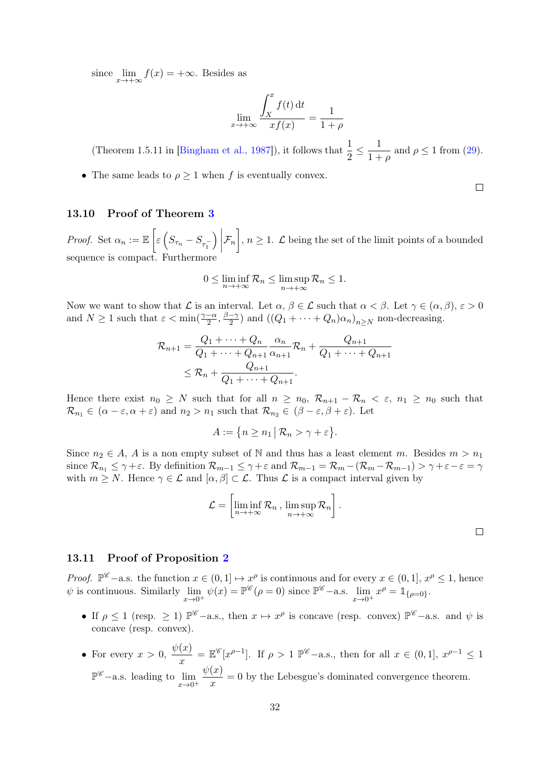since  $\lim_{x \to +\infty} f(x) = +\infty$ . Besides as

$$
\lim_{x \to +\infty} \frac{\int_X^x f(t) dt}{x f(x)} = \frac{1}{1 + \rho}
$$

(Theorem 1.5.11 in [\[Bingham et al., 1987\]](#page-35-1)), it follows that  $\frac{1}{2} \le \frac{1}{1 + \frac{1}{2}}$  $\frac{1}{1+\rho}$  and  $\rho \le 1$  from [\(29\)](#page-30-0).

• The same leads to  $\rho \geq 1$  when f is eventually convex.

#### 13.10 Proof of Theorem [3](#page-11-2)

*Proof.* Set  $\alpha_n := \mathbb{E}\left[\varepsilon \left(S_{\tau_n} - S_{\tau_1^-}\right)\right]$  $\Big)$  $\mathcal{F}_n\Big]$ ,  $n\geq 1$ .  $\mathcal L$  being the set of the limit points of a bounded sequence is compact. Furthermore

$$
0 \le \liminf_{n \to +\infty} \mathcal{R}_n \le \limsup_{n \to +\infty} \mathcal{R}_n \le 1.
$$

Now we want to show that  $\mathcal L$  is an interval. Let  $\alpha, \beta \in \mathcal L$  such that  $\alpha < \beta$ . Let  $\gamma \in (\alpha, \beta), \varepsilon > 0$ and  $N \geq 1$  such that  $\varepsilon < \min(\frac{\gamma - \alpha}{2}, \frac{\beta - \gamma}{2})$  $\frac{-\gamma}{2}$ ) and  $((Q_1 + \cdots + Q_n)\alpha_n)_{n \geq N}$  non-decreasing.

$$
\mathcal{R}_{n+1} = \frac{Q_1 + \dots + Q_n}{Q_1 + \dots + Q_{n+1}} \frac{\alpha_n}{\alpha_{n+1}} \mathcal{R}_n + \frac{Q_{n+1}}{Q_1 + \dots + Q_{n+1}} \leq \mathcal{R}_n + \frac{Q_{n+1}}{Q_1 + \dots + Q_{n+1}}.
$$

Hence there exist  $n_0 \geq N$  such that for all  $n \geq n_0$ ,  $\mathcal{R}_{n+1} - \mathcal{R}_n < \varepsilon$ ,  $n_1 \geq n_0$  such that  $\mathcal{R}_{n_1} \in (\alpha - \varepsilon, \alpha + \varepsilon)$  and  $n_2 > n_1$  such that  $\mathcal{R}_{n_2} \in (\beta - \varepsilon, \beta + \varepsilon)$ . Let

 $A := \{ n \geq n_1 \mid \mathcal{R}_n > \gamma + \varepsilon \}.$ 

Since  $n_2 \in A$ , A is a non empty subset of N and thus has a least element m. Besides  $m > n_1$ since  $\mathcal{R}_{n_1} \leq \gamma + \varepsilon$ . By definition  $\mathcal{R}_{m-1} \leq \gamma + \varepsilon$  and  $\mathcal{R}_{m-1} = \mathcal{R}_{m} - (\mathcal{R}_{m} - \mathcal{R}_{m-1}) > \gamma + \varepsilon - \varepsilon = \gamma$ with  $m \geq N$ . Hence  $\gamma \in \mathcal{L}$  and  $[\alpha, \beta] \subset \mathcal{L}$ . Thus  $\mathcal{L}$  is a compact interval given by

$$
\mathcal{L} = \left[ \liminf_{n \to +\infty} \mathcal{R}_n \,,\, \limsup_{n \to +\infty} \mathcal{R}_n \right].
$$

 $\Box$ 

#### 13.11 Proof of Proposition [2](#page-12-4)

*Proof.*  $\mathbb{P}^{\mathscr{C}}$  –a.s. the function  $x \in (0,1] \mapsto x^{\rho}$  is continuous and for every  $x \in (0,1]$ ,  $x^{\rho} \leq 1$ , hence  $\psi$  is continuous. Similarly  $\lim_{x\to 0^+} \psi(x) = \mathbb{P}^{\mathscr{C}}(\rho = 0)$  since  $\mathbb{P}^{\mathscr{C}}$  -a.s.  $\lim_{x\to 0^+} x^{\rho} = \mathbb{1}_{\{\rho = 0\}}$ .

- If  $\rho \le 1$  (resp.  $\ge 1$ )  $\mathbb{P}^{\mathscr{C}}$  -a.s., then  $x \mapsto x^{\rho}$  is concave (resp. convex)  $\mathbb{P}^{\mathscr{C}}$  -a.s. and  $\psi$  is concave (resp. convex).
- For every  $x > 0, \frac{\psi(x)}{x}$  $\frac{f(x)}{x} = \mathbb{E}^{\mathscr{C}}[x^{\rho-1}]$ . If  $\rho > 1$   $\mathbb{P}^{\mathscr{C}}$ -a.s., then for all  $x \in (0,1]$ ,  $x^{\rho-1} \leq 1$  $\mathbb{P}^{\mathscr{C}}$  – a.s. leading to  $\lim_{x\to 0^+}$  $\psi(x)$  $\frac{\partial u}{\partial x} = 0$  by the Lebesgue's dominated convergence theorem.

 $\Box$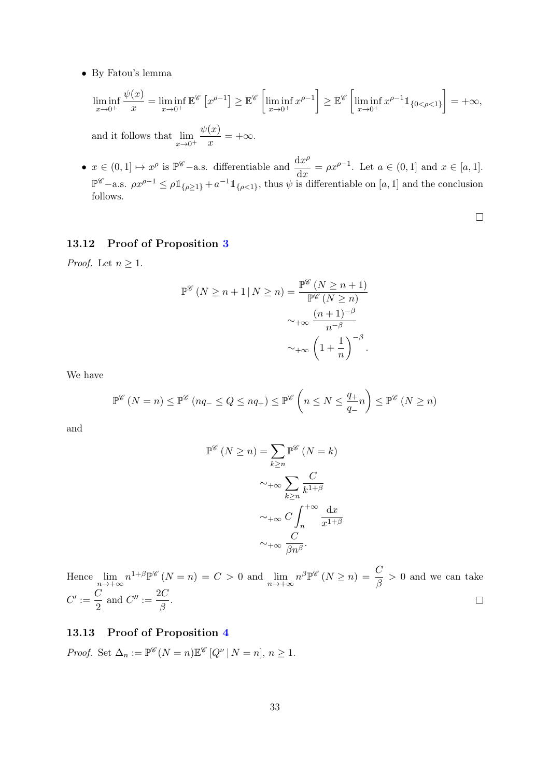• By Fatou's lemma

$$
\liminf_{x \to 0^+} \frac{\psi(x)}{x} = \liminf_{x \to 0^+} \mathbb{E}^{\mathscr{C}} \left[ x^{\rho - 1} \right] \ge \mathbb{E}^{\mathscr{C}} \left[ \liminf_{x \to 0^+} x^{\rho - 1} \right] \ge \mathbb{E}^{\mathscr{C}} \left[ \liminf_{x \to 0^+} x^{\rho - 1} \mathbb{1}_{\{0 < \rho < 1\}} \right] = +\infty,
$$

and it follows that  $\lim_{x\to 0^+}$  $\psi(x)$  $\frac{d^{(x)}}{x}$  = + $\infty$ .

•  $x \in (0,1] \mapsto x^{\rho}$  is  $\mathbb{P}^{\mathscr{C}}$  -a.s. differentiable and  $\frac{dx^{\rho}}{dx^{\rho}}$  $\frac{dx}{dx} = \rho x^{\rho-1}$ . Let  $a \in (0,1]$  and  $x \in [a,1]$ .  $\mathbb{P}^{\mathscr{C}}$  – a.s.  $\rho x^{\rho-1} \leq \rho \mathbb{1}_{\{\rho \geq 1\}} + a^{-1} \mathbb{1}_{\{\rho < 1\}}$ , thus  $\psi$  is differentiable on [a, 1] and the conclusion follows.

 $\Box$ 

### 13.12 Proof of Proposition [3](#page-15-1)

*Proof.* Let  $n \geq 1$ .

$$
\mathbb{P}^{\mathscr{C}}\left(N \ge n+1 \mid N \ge n\right) = \frac{\mathbb{P}^{\mathscr{C}}\left(N \ge n+1\right)}{\mathbb{P}^{\mathscr{C}}\left(N \ge n\right)} \sim +\infty \frac{\left(n+1\right)^{-\beta}}{n^{-\beta}} \sim +\infty \left(1+\frac{1}{n}\right)^{-\beta}.
$$

We have

$$
\mathbb{P}^{\mathscr{C}}\left(N=n\right) \leq \mathbb{P}^{\mathscr{C}}\left(nq_{-} \leq Q \leq nq_{+}\right) \leq \mathbb{P}^{\mathscr{C}}\left(n \leq N \leq \frac{q_{+}}{q_{-}}n\right) \leq \mathbb{P}^{\mathscr{C}}\left(N \geq n\right)
$$

and

$$
\mathbb{P}^{\mathscr{C}}\left(N \geq n\right) = \sum_{k \geq n} \mathbb{P}^{\mathscr{C}}\left(N = k\right)
$$

$$
\sim_{+\infty} \sum_{k \geq n} \frac{C}{k^{1+\beta}}
$$

$$
\sim_{+\infty} C \int_{n}^{+\infty} \frac{dx}{x^{1+\beta}}
$$

$$
\sim_{+\infty} \frac{C}{\beta n^{\beta}}.
$$

Hence  $\lim_{n \to +\infty} n^{1+\beta} \mathbb{P}^{\mathscr{C}}(N=n) = C > 0$  and  $\lim_{n \to +\infty} n^{\beta} \mathbb{P}^{\mathscr{C}}(N \geq n) = \frac{C}{\beta} > 0$  and we can take  $C' := \frac{C}{2}$  $\frac{C}{2}$  and  $C'' := \frac{2C}{\beta}$  $\frac{18}{\beta}$ .

## 13.13 Proof of Proposition [4](#page-15-4)

*Proof.* Set  $\Delta_n := \mathbb{P}^{\mathscr{C}}(N=n)\mathbb{E}^{\mathscr{C}}[Q^{\nu} | N=n], n \geq 1$ .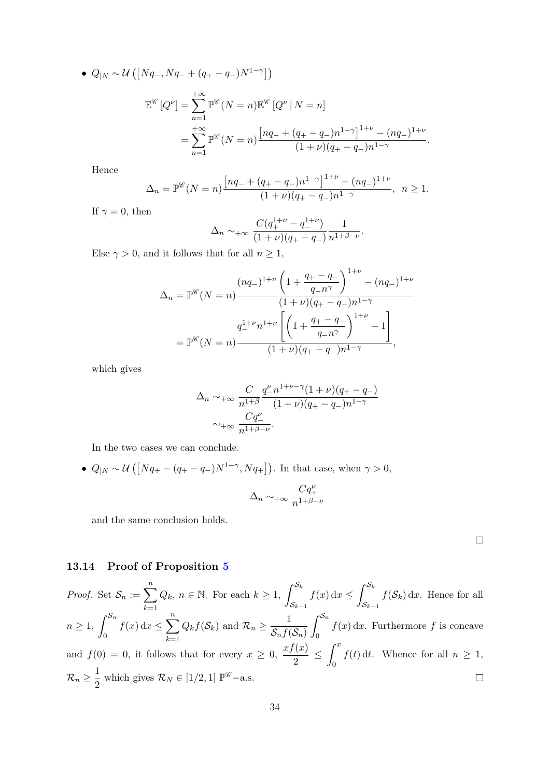• 
$$
Q_{|N} \sim \mathcal{U}\left(\left[Nq_{-}, Nq_{-} + (q_{+} - q_{-})N^{1-\gamma}\right]\right)
$$
  

$$
\mathbb{E}^{\mathscr{C}}\left[Q^{\nu}\right] = \sum_{n=1}^{+\infty} \mathbb{P}^{\mathscr{C}}\left(N = n\right) \mathbb{E}^{\mathscr{C}}\left[Q^{\nu} \mid N = n\right]
$$

$$
= \sum_{n=1}^{+\infty} \mathbb{P}^{\mathscr{C}}\left(N = n\right) \frac{\left[nq_{-} + (q_{+} - q_{-})n^{1-\gamma}\right]^{1+\nu} - (nq_{-})^{1+\nu}}{(1+\nu)(q_{+} - q_{-})n^{1-\gamma}}.
$$

Hence

$$
\Delta_n = \mathbb{P}^{\mathscr{C}}(N=n) \frac{\left[ nq_- + (q_+ - q_-)n^{1-\gamma} \right]^{1+\nu} - (nq_-)^{1+\nu}}{(1+\nu)(q_+ - q_-)n^{1-\gamma}}, \ \ n \ge 1.
$$

If  $\gamma = 0$ , then

$$
\Delta_n \sim +\infty \frac{C(q_+^{1+\nu} - q_-^{1+\nu})}{(1+\nu)(q_+ - q_-)} \frac{1}{n^{1+\beta-\nu}}.
$$

Else  $\gamma > 0$ , and it follows that for all  $n \geq 1$ ,

$$
\Delta_n = \mathbb{P}^{\mathscr{C}}(N=n) \frac{(nq_{-})^{1+\nu} \left(1 + \frac{q_{+} - q_{-}}{q_{-}n^{\gamma}}\right)^{1+\nu} - (nq_{-})^{1+\nu}}{(1+\nu)(q_{+} - q_{-})n^{1-\gamma}}
$$

$$
= \mathbb{P}^{\mathscr{C}}(N=n) \frac{q_{-}^{1+\nu}n^{1+\nu} \left[\left(1 + \frac{q_{+} - q_{-}}{q_{-}n^{\gamma}}\right)^{1+\nu} - 1\right]}{(1+\nu)(q_{+} - q_{-})n^{1-\gamma}},
$$

which gives

$$
\Delta_n \sim +\infty \frac{C}{n^{1+\beta}} \frac{q_-^{\nu} n^{1+\nu-\gamma} (1+\nu)(q_+ - q_-)}{(1+\nu)(q_+ - q_-) n^{1-\gamma}}
$$

$$
\sim +\infty \frac{Cq_-^{\nu}}{n^{1+\beta-\nu}}.
$$

In the two cases we can conclude.

•  $Q_{|N} \sim \mathcal{U}\left( \left[ Nq_+ - (q_+ - q_-)N^{1-\gamma}, Nq_+ \right] \right)$ . In that case, when  $\gamma > 0$ ,

$$
\Delta_n \sim_{+\infty} \frac{Cq_+^{\nu}}{n^{1+\beta-\nu}}
$$

and the same conclusion holds.

#### 13.14 Proof of Proposition [5](#page-16-0)

*Proof.* Set  $S_n := \sum_{k=1}^{n} Q_k$ ,  $n \in \mathbb{N}$ . For each  $k \geq 1$ ,  $\int_{S_k}^{S_k}$  $f(x) dx \leq \int_{0}^{S_k}$  $f(\mathcal{S}_k) dx$ . Hence for all  $\mathcal{S}_{k-1}$  $\mathcal{S}_{k-1}$  $_{k=1}$  $f(x) dx \leq \sum_{n=1}^{\infty}$  $n\geq 1, \int^{\mathcal{S}_n}$  $\int_0^{\mathcal{S}_n}$  $Q_k f(\mathcal{S}_k)$  and  $\mathcal{R}_n \geq \frac{1}{\mathcal{S}_k f(\mathcal{S}_k)}$  $f(x) dx$ . Furthermore f is concave  $\mathcal{S}_n f(\mathcal{S}_n)$ 0  $\mathbf 0$  $_{k=1}$  $\frac{f(x)}{2} \leq \int_0^x$ and  $f(0) = 0$ , it follows that for every  $x \geq 0$ ,  $\frac{xf(x)}{2}$  $f(t)$  dt. Whence for all  $n \geq 1$ ,  $\mathbf{0}$  $\mathcal{R}_n \geq \frac{1}{2}$  $\frac{1}{2}$  which gives  $\mathcal{R}_N \in [1/2, 1]$   $\mathbb{P}^{\mathscr{C}}$  -a.s.  $\Box$ 

 $\Box$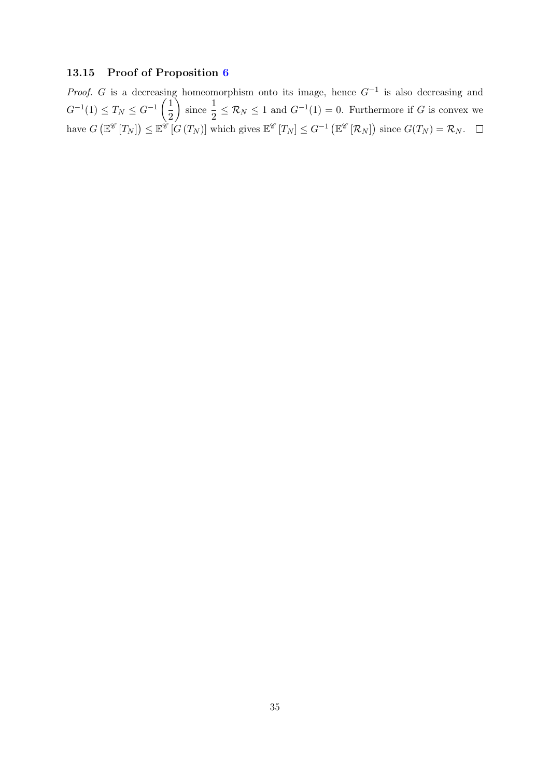## 13.15 Proof of Proposition [6](#page-17-0)

*Proof.* G is a decreasing homeomorphism onto its image, hence  $G^{-1}$  is also decreasing and  $G^{-1}(1) \leq T_N \leq G^{-1}\left(\frac{1}{2}\right)$ 2  $\frac{1}{\text{since}}$  $\frac{1}{2} \leq \mathcal{R}_N \leq 1$  and  $G^{-1}(1) = 0$ . Furthermore if G is convex we have  $G\left(\mathbb{E}^{\mathscr{C}}[T_N]\right) \leq \mathbb{E}^{\mathscr{C}}[G(T_N)]$  which gives  $\mathbb{E}^{\mathscr{C}}[T_N] \leq G^{-1}\left(\mathbb{E}^{\mathscr{C}}[R_N]\right)$  since  $G(T_N) = \mathcal{R}_N$ .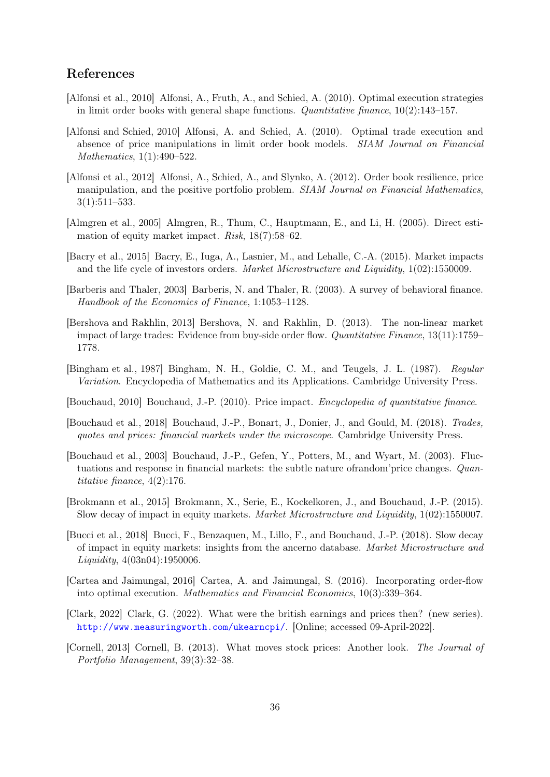## References

- <span id="page-35-10"></span>[Alfonsi et al., 2010] Alfonsi, A., Fruth, A., and Schied, A. (2010). Optimal execution strategies in limit order books with general shape functions. *Quantitative finance*,  $10(2):143-157$ .
- <span id="page-35-9"></span>[Alfonsi and Schied, 2010] Alfonsi, A. and Schied, A. (2010). Optimal trade execution and absence of price manipulations in limit order book models. SIAM Journal on Financial Mathematics, 1(1):490–522.
- <span id="page-35-11"></span>[Alfonsi et al., 2012] Alfonsi, A., Schied, A., and Slynko, A. (2012). Order book resilience, price manipulation, and the positive portfolio problem. SIAM Journal on Financial Mathematics, 3(1):511–533.
- <span id="page-35-2"></span>[Almgren et al., 2005] Almgren, R., Thum, C., Hauptmann, E., and Li, H. (2005). Direct estimation of equity market impact. Risk, 18(7):58–62.
- <span id="page-35-4"></span>[Bacry et al., 2015] Bacry, E., Iuga, A., Lasnier, M., and Lehalle, C.-A. (2015). Market impacts and the life cycle of investors orders. Market Microstructure and Liquidity, 1(02):1550009.
- <span id="page-35-14"></span>[Barberis and Thaler, 2003] Barberis, N. and Thaler, R. (2003). A survey of behavioral finance. Handbook of the Economics of Finance, 1:1053–1128.
- <span id="page-35-3"></span>[Bershova and Rakhlin, 2013] Bershova, N. and Rakhlin, D. (2013). The non-linear market impact of large trades: Evidence from buy-side order flow. Quantitative Finance,  $13(11):1759-$ 1778.
- <span id="page-35-1"></span>[Bingham et al., 1987] Bingham, N. H., Goldie, C. M., and Teugels, J. L. (1987). Regular Variation. Encyclopedia of Mathematics and its Applications. Cambridge University Press.
- <span id="page-35-15"></span>[Bouchaud, 2010] Bouchaud, J.-P. (2010). Price impact. Encyclopedia of quantitative finance.
- <span id="page-35-7"></span>[Bouchaud et al., 2018] Bouchaud, J.-P., Bonart, J., Donier, J., and Gould, M. (2018). Trades, quotes and prices: financial markets under the microscope. Cambridge University Press.
- <span id="page-35-8"></span>[Bouchaud et al., 2003] Bouchaud, J.-P., Gefen, Y., Potters, M., and Wyart, M. (2003). Fluctuations and response in financial markets: the subtle nature ofrandom'price changes. Quantitative finance, 4(2):176.
- <span id="page-35-5"></span>[Brokmann et al., 2015] Brokmann, X., Serie, E., Kockelkoren, J., and Bouchaud, J.-P. (2015). Slow decay of impact in equity markets. Market Microstructure and Liquidity, 1(02):1550007.
- <span id="page-35-6"></span>[Bucci et al., 2018] Bucci, F., Benzaquen, M., Lillo, F., and Bouchaud, J.-P. (2018). Slow decay of impact in equity markets: insights from the ancerno database. Market Microstructure and Liquidity, 4(03n04):1950006.
- <span id="page-35-12"></span>[Cartea and Jaimungal, 2016] Cartea, A. and Jaimungal, S. (2016). Incorporating order-flow into optimal execution. Mathematics and Financial Economics, 10(3):339–364.
- <span id="page-35-13"></span>[Clark, 2022] Clark, G. (2022). What were the british earnings and prices then? (new series). <http://www.measuringworth.com/ukearncpi/>. [Online; accessed 09-April-2022].
- <span id="page-35-0"></span>[Cornell, 2013] Cornell, B. (2013). What moves stock prices: Another look. The Journal of Portfolio Management, 39(3):32–38.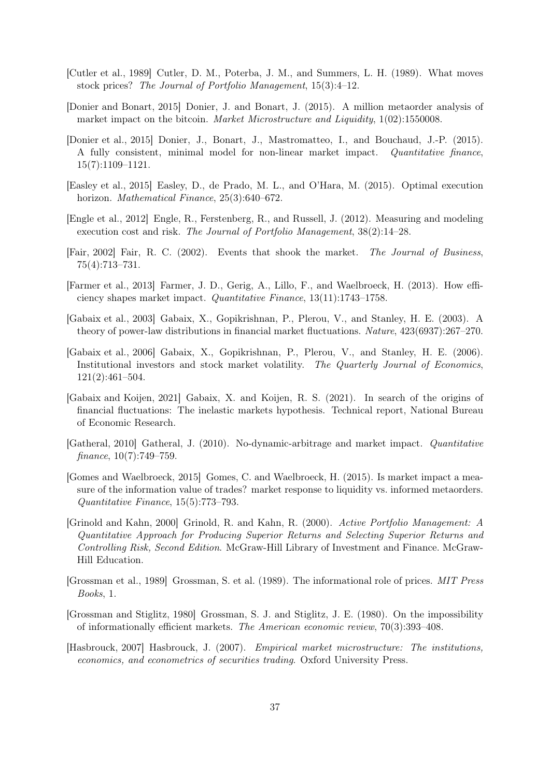- <span id="page-36-3"></span>[Cutler et al., 1989] Cutler, D. M., Poterba, J. M., and Summers, L. H. (1989). What moves stock prices? The Journal of Portfolio Management, 15(3):4–12.
- <span id="page-36-6"></span>[Donier and Bonart, 2015] Donier, J. and Bonart, J. (2015). A million metaorder analysis of market impact on the bitcoin. *Market Microstructure and Liquidity*,  $1(02):1550008$ .
- <span id="page-36-10"></span>[Donier et al., 2015] Donier, J., Bonart, J., Mastromatteo, I., and Bouchaud, J.-P. (2015). A fully consistent, minimal model for non-linear market impact. Quantitative finance, 15(7):1109–1121.
- <span id="page-36-12"></span>[Easley et al., 2015] Easley, D., de Prado, M. L., and O'Hara, M. (2015). Optimal execution horizon. Mathematical Finance, 25(3):640–672.
- <span id="page-36-14"></span>[Engle et al., 2012] Engle, R., Ferstenberg, R., and Russell, J. (2012). Measuring and modeling execution cost and risk. The Journal of Portfolio Management, 38(2):14–28.
- <span id="page-36-13"></span>[Fair, 2002] Fair, R. C. (2002). Events that shook the market. The Journal of Business, 75(4):713–731.
- <span id="page-36-11"></span>[Farmer et al., 2013] Farmer, J. D., Gerig, A., Lillo, F., and Waelbroeck, H. (2013). How efficiency shapes market impact. Quantitative Finance, 13(11):1743–1758.
- <span id="page-36-4"></span>[Gabaix et al., 2003] Gabaix, X., Gopikrishnan, P., Plerou, V., and Stanley, H. E. (2003). A theory of power-law distributions in financial market fluctuations. Nature, 423(6937):267–270.
- <span id="page-36-8"></span>[Gabaix et al., 2006] Gabaix, X., Gopikrishnan, P., Plerou, V., and Stanley, H. E. (2006). Institutional investors and stock market volatility. The Quarterly Journal of Economics, 121(2):461–504.
- <span id="page-36-2"></span>[Gabaix and Koijen, 2021] Gabaix, X. and Koijen, R. S. (2021). In search of the origins of financial fluctuations: The inelastic markets hypothesis. Technical report, National Bureau of Economic Research.
- <span id="page-36-9"></span>[Gatheral, 2010] Gatheral, J. (2010). No-dynamic-arbitrage and market impact. Quantitative finance,  $10(7)$ :749–759.
- <span id="page-36-5"></span>[Gomes and Waelbroeck, 2015] Gomes, C. and Waelbroeck, H. (2015). Is market impact a measure of the information value of trades? market response to liquidity vs. informed metaorders. Quantitative Finance, 15(5):773–793.
- <span id="page-36-7"></span>[Grinold and Kahn, 2000] Grinold, R. and Kahn, R. (2000). Active Portfolio Management: A Quantitative Approach for Producing Superior Returns and Selecting Superior Returns and Controlling Risk, Second Edition. McGraw-Hill Library of Investment and Finance. McGraw-Hill Education.
- <span id="page-36-1"></span>[Grossman et al., 1989] Grossman, S. et al. (1989). The informational role of prices. MIT Press Books, 1.
- <span id="page-36-0"></span>[Grossman and Stiglitz, 1980] Grossman, S. J. and Stiglitz, J. E. (1980). On the impossibility of informationally efficient markets. The American economic review, 70(3):393–408.
- <span id="page-36-15"></span>[Hasbrouck, 2007] Hasbrouck, J. (2007). Empirical market microstructure: The institutions, economics, and econometrics of securities trading. Oxford University Press.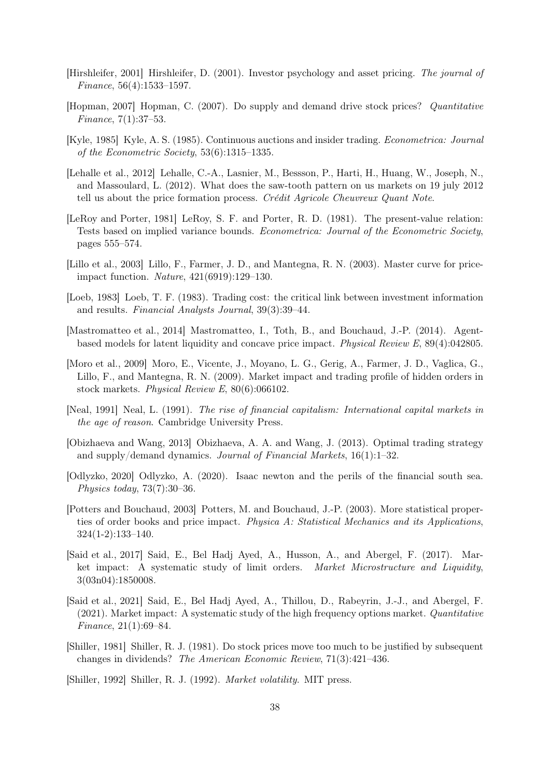- <span id="page-37-14"></span>[Hirshleifer, 2001] Hirshleifer, D. (2001). Investor psychology and asset pricing. The journal of Finance, 56(4):1533–1597.
- <span id="page-37-2"></span>[Hopman, 2007] Hopman, C. (2007). Do supply and demand drive stock prices? Quantitative Finance, 7(1):37–53.
- <span id="page-37-7"></span>[Kyle, 1985] Kyle, A. S. (1985). Continuous auctions and insider trading. Econometrica: Journal of the Econometric Society, 53(6):1315–1335.
- <span id="page-37-10"></span>[Lehalle et al., 2012] Lehalle, C.-A., Lasnier, M., Bessson, P., Harti, H., Huang, W., Joseph, N., and Massoulard, L. (2012). What does the saw-tooth pattern on us markets on 19 july 2012 tell us about the price formation process. Crédit Agricole Cheuvreux Quant Note.
- <span id="page-37-11"></span>[LeRoy and Porter, 1981] LeRoy, S. F. and Porter, R. D. (1981). The present-value relation: Tests based on implied variance bounds. Econometrica: Journal of the Econometric Society, pages 555–574.
- <span id="page-37-1"></span>[Lillo et al., 2003] Lillo, F., Farmer, J. D., and Mantegna, R. N. (2003). Master curve for priceimpact function. Nature, 421(6919):129–130.
- <span id="page-37-16"></span>[Loeb, 1983] Loeb, T. F. (1983). Trading cost: the critical link between investment information and results. Financial Analysts Journal, 39(3):39–44.
- <span id="page-37-9"></span>[Mastromatteo et al., 2014] Mastromatteo, I., Toth, B., and Bouchaud, J.-P. (2014). Agentbased models for latent liquidity and concave price impact. Physical Review E, 89(4):042805.
- <span id="page-37-4"></span>[Moro et al., 2009] Moro, E., Vicente, J., Moyano, L. G., Gerig, A., Farmer, J. D., Vaglica, G., Lillo, F., and Mantegna, R. N. (2009). Market impact and trading profile of hidden orders in stock markets. Physical Review E, 80(6):066102.
- <span id="page-37-15"></span>[Neal, 1991] Neal, L. (1991). The rise of financial capitalism: International capital markets in the age of reason. Cambridge University Press.
- <span id="page-37-8"></span>[Obizhaeva and Wang, 2013] Obizhaeva, A. A. and Wang, J. (2013). Optimal trading strategy and supply/demand dynamics. Journal of Financial Markets, 16(1):1–32.
- <span id="page-37-13"></span>[Odlyzko, 2020] Odlyzko, A. (2020). Isaac newton and the perils of the financial south sea. Physics today, 73(7):30–36.
- <span id="page-37-3"></span>[Potters and Bouchaud, 2003] Potters, M. and Bouchaud, J.-P. (2003). More statistical properties of order books and price impact. Physica A: Statistical Mechanics and its Applications, 324(1-2):133–140.
- <span id="page-37-5"></span>[Said et al., 2017] Said, E., Bel Hadj Ayed, A., Husson, A., and Abergel, F. (2017). Market impact: A systematic study of limit orders. Market Microstructure and Liquidity, 3(03n04):1850008.
- <span id="page-37-6"></span>[Said et al., 2021] Said, E., Bel Hadj Ayed, A., Thillou, D., Rabeyrin, J.-J., and Abergel, F. (2021). Market impact: A systematic study of the high frequency options market. Quantitative Finance, 21(1):69–84.
- <span id="page-37-0"></span>[Shiller, 1981] Shiller, R. J. (1981). Do stock prices move too much to be justified by subsequent changes in dividends? The American Economic Review, 71(3):421–436.

<span id="page-37-12"></span>[Shiller, 1992] Shiller, R. J. (1992). Market volatility. MIT press.